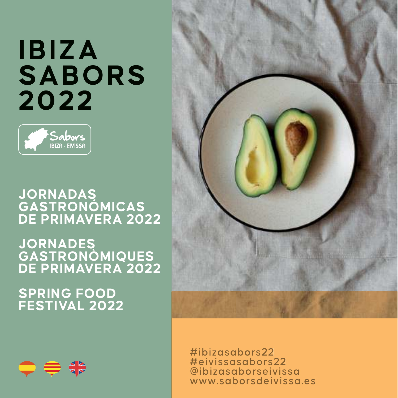# **IBIZA SABORS 2022**



### **JORNADAS GASTRONÓMICAS DE PRIMAVERA 2022**

**JORNADES GASTRONÒMIQUES DE PRIMAVERA 2022**

# **SPRING FOOD FESTIVAL 2022**





#ibizasabors22 #eivissasabors22 @ibizasaborseivissa www.saborsdeivissa.es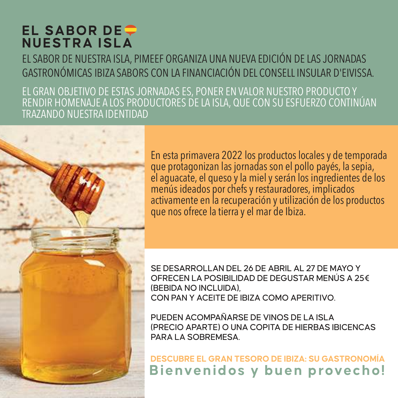# **EL SABOR DE NUESTRA ISLA**

EL SABOR DE NUESTRA ISLA, PIMEEF ORGANIZA UNA NUEVA EDICIÓN DE LAS JORNADAS GASTRONÓMICAS IBIZA SABORS CON LA FINANCIACIÓN DEL CONSELL INSULAR D'EIVISSA.

EL GRAN OBJETIVO DE ESTAS JORNADAS ES, PONER EN VALOR NUESTRO PRODUCTO Y RENDIR HOMENAJE A LOS PRODUCTORES DE LA ISLA, QUE CON SU ESFUERZO CONTINÚAN TRAZANDO NUESTRA IDENTIDAD

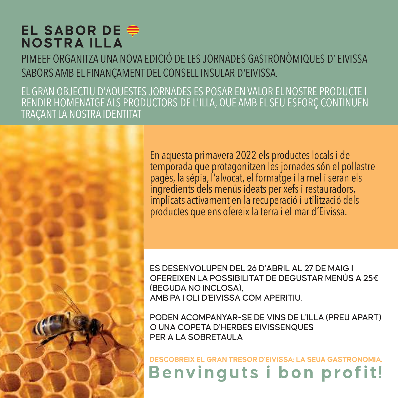# **EL SABOR DE NOSTRA ILLA**

PIMEEF ORGANITZA UNA NOVA EDICIÓ DE LES JORNADES GASTRONÒMIQUES D' EIVISSA SABORS AMB EL FINANÇAMENT DEL CONSELL INSULAR D'EIVISSA.

EL GRAN OBJECTIU D'AQUESTES JORNADES ES POSAR EN VALOR EL NOSTRE PRODUCTE I RENDIR HOMENATGE ALS PRODUCTORS DE L'ILLA, QUE AMB EL SEU ESFORÇ CONTINUEN TRAÇANT LA NOSTRA IDENTITAT

> En aquesta primavera 2022 els productes locals i de temporada que protagonitzen les jornades són el pollastre pagès, la sépia, l'alvocat, el formatge i la mel i seran els ingredients dels menús ideats per xefs i restauradors, implicats activament en la recuperació i utilització dels productes que ens ofereix la terra i el mar d´Eivissa.

ES DESENVOLUPEN DEL 26 D'ABRIL AL 27 DE MAIG I OFEREIXEN LA POSSIBILITAT DE DEGUSTAR MENÚS A 25€ (BEGUDA NO INCLOSA), AMB PA I OLI D'EIVISSA COM APERITIU.

PODEN ACOMPANYAR-SE DE VINS DE L'ILLA (PREU APART) O UNA COPETA D'HERBES EIVISSENQUES PER A LA SOBRETAULA

**Benvinguts i bon profit! DESCOBREIX EL GRAN TRESOR D'EIVISSA: LA SEUA GASTRONOMIA.**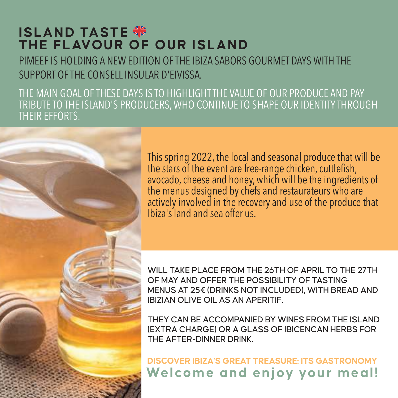# **ISLAND TASTE THE FLAVOUR OF OUR ISLAND**

PIMEEF IS HOLDING A NEW EDITION OF THE IBIZA SABORS GOURMET DAYS WITH THE SUPPORT OF THE CONSELL INSULAR D'EIVISSA.

THE MAIN GOAL OF THESE DAYS IS TO HIGHLIGHT THE VALUE OF OUR PRODUCE AND PAY TRIBUTE TO THE ISLAND'S PRODUCERS, WHO CONTINUE TO SHAPE OUR IDENTITY THROUGH THEIR EFFORTS.



This spring 2022, the local and seasonal produce that will be the stars of the event are free-range chicken, cuttlefish, avocado, cheese and honey, which will be the ingredients of the menus designed by chefs and restaurateurs who are actively involved in the recovery and use of the produce that Ibiza's land and sea offer us.

WILL TAKE PLACE FROM THE 26TH OF APRIL TO THE 27TH OF MAY AND OFFER THE POSSIBILITY OF TASTING MENUS AT 25€ (DRINKS NOT INCLUDED), WITH BREAD AND IBIZIAN OLIVE OIL AS AN APERITIF.

THEY CAN BE ACCOMPANIED BY WINES FROM THE ISLAND (EXTRA CHARGE) OR A GLASS OF IBICENCAN HERBS FOR THE AFTER-DINNER DRINK.

**Welcome and enjoy your meal! DISCOVER IBIZA'S GREAT TREASURE: ITS GASTRONOMY**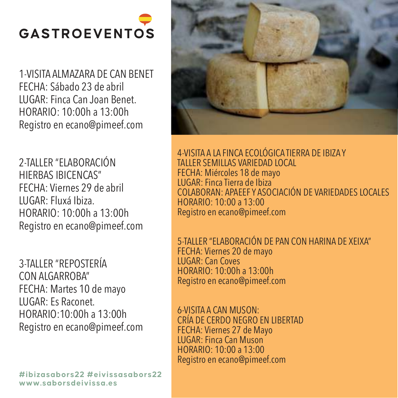# **GASTROEVENTOS**

1-VISITA ALMAZARA DE CAN BENET FECHA: Sábado 23 de abril LUGAR: Finca Can Joan Benet. HORARIO: 10:00h a 13:00h Registro en ecano@pimeef.com

2-TALLER "ELABORACIÓN HIERBAS IBICENCAS" FECHA: Viernes 29 de abril LUGAR: Fluxá Ibiza. HORARIO: 10:00h a 13:00h Registro en ecano@pimeef.com

3-TALLER "REPOSTERÍA CON ALGARROBA" FECHA: Martes 10 de mayo LUGAR: Es Raconet. HORARIO:10:00h a 13:00h Registro en ecano@pimeef.com

**#ibizasabors22 #eivissasabors22 www.saborsdeivissa.es**



4-VISITA A LA FINCA ECOLÓGICA TIERRA DE IBIZA Y TALLER SEMILLAS VARIEDAD LOCAL FECHA: Miércoles 18 de mayo LUGAR: Finca Tierra de Ibiza COLABORAN: APAEEF Y ASOCIACIÓN DE VARIEDADES LOCALES HORARIO: 10:00 a 13:00 Registro en ecano@pimeef.com

5-TALLER "ELABORACIÓN DE PAN CON HARINA DE XEIXA" FECHA: Viernes 20 de mayo LUGAR: Can Coves HORARIO: 10:00h a 13:00h Registro en ecano@pimeef.com

6-VISITA A CAN MUSON: CRÍA DE CERDO NEGRO EN LIBERTAD FECHA: Viernes 27 de Mayo LUGAR: Finca Can Muson HORARIO: 10:00 a 13:00 Registro en ecano@pimeef.com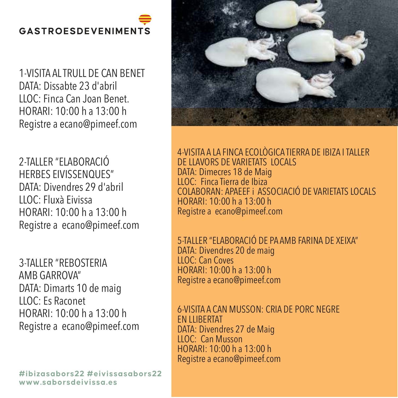# **GASTROESDEVENIMENTS**

1-VISITA AL TRULL DE CAN BENET DATA: Dissabte 23 d'abril LLOC: Finca Can Joan Benet. HORARI: 10:00 h a 13:00 h Registre a ecano@pimeef.com

2-TALLER "ELABORACIÓ HERBES EIVISSENQUES" DATA: Divendres 29 d'abril LLOC: Fluxà Eivissa HORARI: 10:00 h a 13:00 h Registre a ecano@pimeef.com

3-TALLER "REBOSTERIA AMB GARROVA" DATA: Dimarts 10 de maig LLOC: Es Raconet HORARI: 10:00 h a 13:00 h Registre a ecano@pimeef.com

**#ibizasabors22 #eivissasabors22 www.saborsdeivissa.es**



4-VISITA A LA FINCA ECOLÒGICA TIERRA DE IBIZA I TALLER DE LLAVORS DE VARIETATS LOCALS DATA: Dimecres 18 de Maig LLOC: Finca Tierra de Ibiza COLABORAN: APAEEF i ASSOCIACIÓ DE VARIETATS LOCALS HORARI: 10:00 h a 13:00 h Registre a ecano@pimeef.com

5-TALLER "ELABORACIÓ DE PA AMB FARINA DE XEIXA" DATA: Divendres 20 de maig **LLOC**: Can Coves HORARI: 10:00 h a 13:00 h Registre a ecano@pimeef.com

6-VISITA A CAN MUSSON: CRIA DE PORC NEGRE EN LLIBERTAT DATA: Divendres 27 de Maig LLOC: Can Musson HORARI: 10:00 h a 13:00 h Registre a ecano@pimeef.com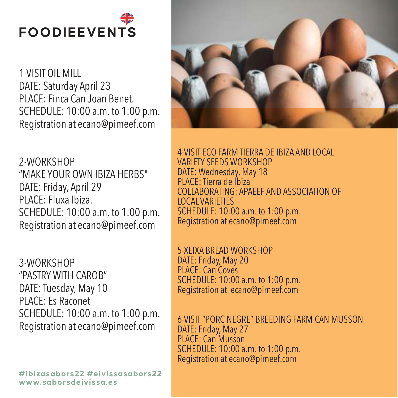# **FOODIEEVENTS**

1-VISIT OIL MILL DATE: Saturday April 23 PLACE: Finca Can Joan Benet. SCHEDULE: 10:00 a.m. to 1:00 p.m. Registration at ecano@pimeef.com

2-WORKSHOP "MAKE YOUR OWN IBIZA HERBS" DATE: Friday, April 29 PLACE: Fluxa Ibiza. SCHEDULE: 10:00 a.m. to 1:00 p.m. Registration at ecano@pimeef.com

3-WORKSHOP "PASTRY WITH CAROB" DATE: Tuesday, May 10 PLACE: Es Raconet SCHEDULE: 10:00 a.m. to 1:00 p.m. Registration at ecano@pimeef.com



4-VISIT ECO FARM TIERRA DE IBIZA AND LOCAL VARIETY SEEDS WORKSHOP DATE: Wednesday, May 18 PLACE: Tierra de Ibiza COLLABORATING: APAEEF AND ASSOCIATION OF LOCAL VARIETIES SCHEDULE: 10:00 a.m. to 1:00 p.m. Registration at ecano@pimeef.com

5-XEIXA BREAD WORKSHOP DATE: Friday, May 20 PLACE: Can Coves SCHEDULE: 10:00 a.m. to 1:00 p.m. Registration at ecano@pimeef.com

6-VISIT "PORC NEGRE" BREEDING FARM CAN MUSSON DATE: Friday, May 27 PLACE: Can Musson SCHEDULE: 10:00 a.m. to 1:00 p.m. Registration at ecano@pimeef.com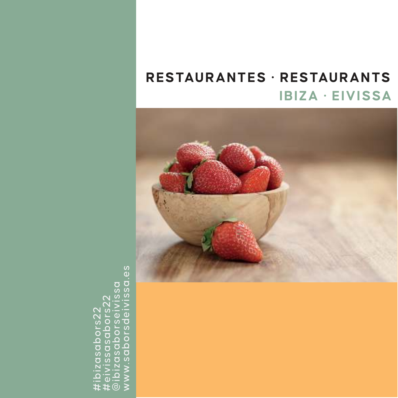# **IBIZA · EIVISSA RESTAURANTES · RESTAURANTS**



ΘS www.saborsdeivissa.es@ibizasaborseivissa #eivissasabors22 #ibizasabors22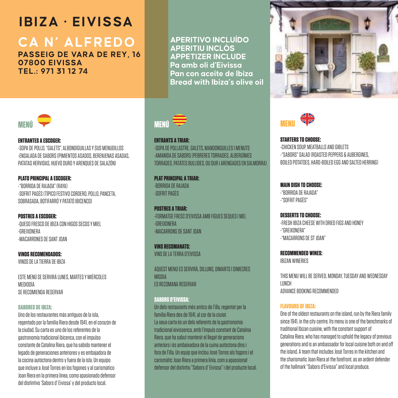# **CA N' ALFREDO**

**PASSEIG DE VARA DE REY, 16 07800 EIVISSA TEL.: 971 31 12 74**

**APERITIVO INCLUÍDO APERITIU INCLÒS APPETIZER INCLUDE Pa amb oli d'Eivissa Pan con aceite de Ibiza Bread with Ibiza's olive oil** 



#### **ENTRANTES A ESCOGER:** -SOPA DE POLLO, "GALETS", ALBONDIGUILLAS Y SUS MENUDILLOS -ENSALADA DE SABORS (PIMIENTOS ASADOS, BERENJENAS ASADAS, PATATAS HERVIDAS, HUEVO DURO Y ARENQUES DE SALAZÓN)

**PLATO PRINCIPAL A ESCOGER:**  -"BORRIDA DE RAJADA" (RAYA) -SOFRIT PAGÈS (TÍPICO FESTIVO CORDERO, POLLO, PANCETA, SOBRASADA, BOTIFARRÓ Y PATATÓ IBICENCO)

**POSTRES A ESCOGER:** -QUESO FRESCO DE IBIZA CON HIGOS SECOS Y MIEL -GREIXONERA -MACARRONES DE SANT JOAN

**VINOS RECOMENDADOS:** VINOS DE LA TIERRA DE IBIZA

ESTE MENÚ SE SERVIRÁ LUNES, MARTES Y MIÉRCOLES MEDIODÍA SE RECOMIENDA RESERVAR

#### **SABORES DE IBIZA:**

Uno de los restaurantes más antiguos de la isla, regentado por la familia Riera desde 1941, en el corazón de la ciudad. Su carta es uno de los referentes de la gastronomía tradicional ibicenca, con el impulso constante de Catalina Riera, que ha sabido mantener el legado de generaciones anteriores y es embajadora de la cocina autóctona dentro y fuera de la isla. Un equipo que incluye a José Torres en los fogones y al carismático Joan Riera en la primera línea, como apasionado defensor del distintivo 'Sabors d' Eivissa' y del producto local.



**ENTRANTS A TRIAR:**

-SOPA DE POLLASTRE, GALETS, MANDONGUILLES I MENUTS -AMANIDA DE SABORS (PEBRERES TORRADES, ALBERGÍNIES TORRADES, PATATES BULLIDES, OU DUR I ARENGADES EN SALMORRA)

**PLAT PRINCIPAL A TRIAR:**  -BORRIDA DE RAJADA -SOFRIT PAGÈS

**POSTRES A TRIAR-**-FORMATGE FRESC D'EIVISSA AMB FIGUES SEQUES I MEL -GREIXONERA -MACARRONS DE SANT JOAN

**VINS RECOMANATS:** VINS DE LA TERRA D'EIVISSA

AQUEST MENÚ ES SERVIRÀ, DILLUNS, DIMARTS I DIMECRES **MIGDIA** ES RECOMANA RESERVAR

#### **SABORS D'EIVISSA:**

Un dels restaurants més antics de l'illa, regentat per la família Riera des de 1941, al cor de la ciutat. La seua carta és un dels referents de la gastronomia tradicional eivissenca, amb l'impuls constant de Catalina Riera, que ha sabut mantenir el llegat de generacions anteriors i és ambaixadora de la cuina autòctona dins i fora de l'illa. Un equip que inclou José Torres als fogons i el carismàtic Joan Riera a primera línia, com a apassionat defensor del distintiu "Sabors d' Eivissa" i del producte local.





**STARTERS TO CHOOSE:**  -CHICKEN SOUP, MEATRALLS AND GIBLETS. -"SABORS" SALAD (ROASTED PEPPERS & AUBERGINES, BOILED POTATOES, HARD-BOILED EGG AND SALTED HERRINGS

**MAIN DISH TO CHOOSE:** -"BORRIDA DE RAJADA"

-"SOFRIT PAGÈS"

#### **DESSERTS TO CHOOSE:**

-FRESH IBIZA CHEESE WITH DRIED FIGS AND HONEY -"GREIXONERA" -"MACARRONS DE ST JOAN"

**RECOMMENDED WINES:**  IBIZAN WINERIES

THIS MENU WILL BE SERVED, MONDAY, TUESDAY AND WEDNESDAY LUNCH ADVANCE BOOKING RECOMMENDED

#### **FLAVOURS OF IBIZA:**

One of the oldest restaurants on the island, run by the Riera family since 1941, in the city centre. Its menu is one of the benchmarks of traditional Ibizan cuisine, with the constant support of Catalina Riera, who has managed to uphold the legacy of previous generations and is an ambassador for local cuisine both on and off the island. A team that includes José Torres in the kitchen and the charismatic Joan Riera at the forefront, as an ardent defender of the hallmark "Sabors d'Eivissa" and local produce.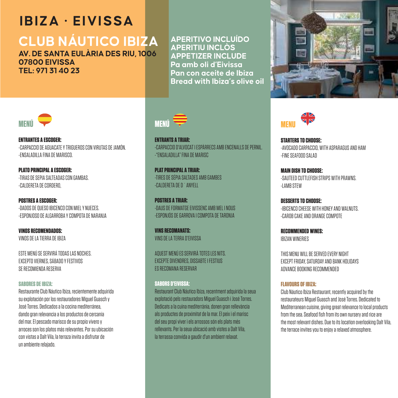# **CLUB NÁUTICO IBIZA**

**AV. DE SANTA EULÀRIA DES RIU, 1006 07800 EIVISSA TEL: 971 31 40 23**

**APERITIVO INCLUÍDO APERITIU INCLÒS APPETIZER INCLUDE Pa amb oli d'Eivissa Pan con aceite de Ibiza Bread with Ibiza's olive oil** 





**ENTRANTES A ESCOGER:** -CARPACCIO DE AGUACATE Y TRIGUEROS CON VIRUTAS DE JAMÓN. -ENSALADILLA FINA DE MARISCO.

**PLATO PRINCIPAL A ESCOGER:**  -TIRAS DE SEPIA SALTEADAS CON GAMBAS. -CALDERETA DE CORDERO,

**POSTRES A ESCOGER:** -DADOS DE QUESO IBICENCO CON MIEL Y NUECES. -ESPONJOSO DE ALGARROBA Y COMPOTA DE NARANJA

**VINOS RECOMENDADOS:** VINOS DE LA TIERRA DE IBIZA

ESTE MENÚ SE SERVIRÁ TODAS LAS NOCHES. EXCEPTO VIERNES, SÁBADO Y FESTIVOS SE RECOMIENDA RESERVA

#### **SABORES DE IBIZA:**

Restaurante Club Náutico Ibiza, recientemente adquirida su explotación por los restauradores Miguel Guasch y José Torres. Dedicados a la cocina mediterránea, dando gran relevancia a los productos de cercanía del mar. El pescado marisco de su propio vivero y arroces son los platos más relevantes. Por su ubicación con vistas a Dalt Vila, la terraza invita a disfrutar de un ambiente relajado.



**ENTRANTS A TRIAR:** -CARPACCIO D'ALVOCAT I ESPÀRRECS AMB ENCENALLS DE PERNIL. -"ENSALADILLA" FINA DE MARISC

**PLAT PRINCIPAL A TRIAR:**  -TIRES DE SÉPIA SALTADES AMB GAMBES -CALDERETA DE D´ANYELL

**POSTRES A TRIAR:** -DAUS DE FORMATGE EIVISSENC AMB MEL I NOUS -ESPONJÓS DE GARROVA I COMPOTA DE TARONJA

**VINS RECOMANATS:** VING DE LA TERRA D'EIVIGOA

AQUEST MENÚ ES SERVIRÀ TOTES LES NITS. EXCEPTE DIVENDRES, DISSABTE I FESTIUS ES RECOMANA RESERVAR

#### **SABORS D'EIVISSA:**

Restaurant Club Náutico Ibiza, recentment adquirida la seua explotació pels restauradors Miguel Guasch i José Torres. Dedicats a la cuina mediterrània, donen gran rellevància als productes de proximitat de la mar. El peix i el marisc del seu propi viver i els arrossos són els plats més rellevants. Per la seua ubicació amb vistes a Dalt Vila, la terrassa convida a gaudir d'un ambient relaxat.



**STARTERS TO CHOOSE:**  -AVOCADO CARPACCIO, WITH ASPARAGUS AND HAM -FINE SEAFOOD SALAD

**MAIN DISH TO CHOOSE:** -SAUTEED CUTTLEFISH STRIPS WITH PRAWNS. -LAMB STEW

**DESSERTS TO CHOOSE:** -IBICENCO CHEESE WITH HONEY AND WALNUTS. -CAROB CAKE AND ORANGE COMPOTE

**RECOMMENDED WINES:**  IBIZAN WINERIES

THIS MENU WILL BE SERVED EVERY NIGHT EVPERT EDIDAY, SATURDAY, AND BANK HOLIDAYS ADVANCE BOOKING RECOMMENDED

#### **FLAVOURS OF IBIZA:**

Club Náutico Ibiza Restaurant, recently acquired by the restaurateurs Miguel Guasch and José Torres. Dedicated to Mediterranean cuisine, giving great relevance to local products from the sea. Seafood fish from its own nursery and rice are the most relevant dishes. Due to its location overlooking Dalt Vila, the terrace invites you to enjoy a relaxed atmosphere.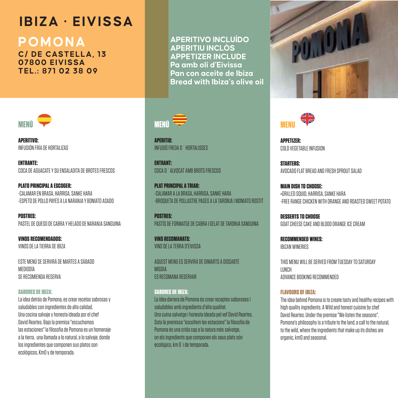**POMONA**

**C/ DE CASTELLA, 13 07800 EIVISSA TEL.: 871 02 38 09**



**APERITIVO:** INFUSIÓN FRÍA DE HORTALIZAS

**ENTRANTE:**  COCA DE AGUACATE Y SU ENSALADITA DE BROTES FRESCOS

**PLATO PRINCIPAL A ESCOGER:**  -CALAMAR EN BRASA, HARRISA, SANKE HARA -ESPETO DE POLLO PAYÉS A LA NARANJA Y BONIATO ASADO

**POSTRES:** PASTEL DE QUESO DE CABRA Y HELADO DE NARANJA SANGUINA

**VINOS RECOMENDADOS:** VINOS DE LA TIERRA DE IBIZA

ESTE MENÚ SE SERVIRÁ DE MARTES A SÁBADO MEDIODÍA SE RECOMIENDA RESERVA

#### **SABORES DE IBIZA:**

La idea detrás de Pomona, es crear recetas sabrosas y saludables con ingredientes de alta calidad. Una cocina salvaje y honesta ideada por el chef David Reartes. Bajo la premisa "escuchamos las estaciones" la filosofía de Pomona es un homenaje a la tierra, una llamada a lo natural, a lo salvaje, donde los ingredientes que componen sus platos son ecológicos, Km0 y de temporada.

**APERITIVO INCLUÍDO APERITIU INCLÒS APPETIZER INCLUDE Pa amb oli d'Eivissa Pan con aceite de Ibiza Bread with Ibiza's olive oil** 



**APERITIU:** INFUSIÓ FREDA D´HORTALISSES

**ENTRANT:**  COCA D´ALVOCAT AMB BROTS FRESCOS

**PLAT PRINCIPAL A TRIAR:**  -CALAMAR A LA BRASA, HARRISA, SANKE HARA -BROQUETA DE POLLASTRE PAGÈS A LA TARONJA I MONIATO ROSTIT

**POSTRES:** PASTÍS DE FORMATGE DE CABRA I GELAT DE TARONJA SANGUINA

**VINS RECOMANATS:** VINS DE LA TERRA D'EIVISSA

AQUEST MENÚ ES SERVIRÀ DE DIMARTS A DISSABTE MIGDIA ES RECOMANA RESERVAR

**SABORES DE IBIZA:**  La idea darrera de Pomona és crear receptes saboroses i saludables amb ingredients d'alta qualitat. Una cuina salvatge i honesta ideada pel xef David Reartes. Sota la premissa "escoltem les estacions" la filosofia de Pomona és una crida cap a la natura més salvatge, on els ingredients que componen els seus plats són ecològics, km 0 i de temporada.





**APPETIZER:** COLD VEGETABLE INFUSION

**STARTERS:**  AVOCADO FLAT BREAD AND FRESH SPROUT SALAD

**MAIN DISH TO CHOOSE: -**GRILLED SQUID, HARRISA, SANKE HARA -FREE RANGE CHICKEN WITH ORANGE AND ROASTED SWEET POTATO

**DESSERTS TO CHOOSE** GOAT CHEESE CAKE AND BLOOD ORANGE ICE CREAM

**RECOMMENDED WINES:**  IBIZAN WINERIES

THIS MENU WILL BE SERVED FROM TUESDAY TO SATURDAY LUNCH ADVANCE BOOKING RECOMMENDED

#### **FLAVOURS OF IBIZA:**

The idea behind Pomona is to create tasty and healthy recipes with high quality ingredients. A Wild and honest cuisine by chef David Reartes. Under the premise "We listen the seasons", Pomona's philosophy is a tribute to the land, a call to the natural. to the wild, where the ingredients that make up its dishes are organic, km0 and seasonal.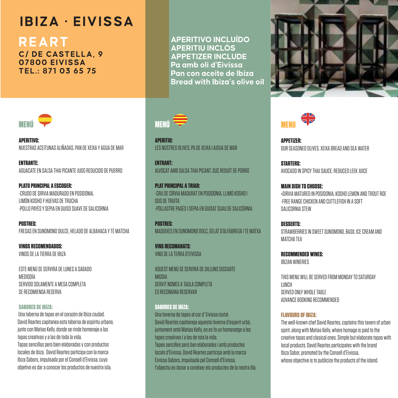# **REART**

**C/ DE CASTELLA, 9 07800 EIVISSA TEL.: 871 03 65 75**



**APERITIVO:** NUESTRAS ACEITUNAS ALIÑADAS. PAN DE XEIXA Y AGUA DE MAR

**ENTRANTE:**  AGUACATE EN SALSA THAI PICANTE JUGO REDUCIDO DE PUERRO

**PLATO PRINCIPAL A ESCOGER:**  -CRUDO DE SIRVIA MADURADO EN POSIDONIA, LIMÓN KOSHO Y HUEVAS DE TRUCHA -POLLO PAYÉS Y SEPIA EN GUISO SUAVE DE SALICORNIA

**POSTRES:** FRESAS EN SUNOMONO DULCE, HELADO DE ALBAHACA Y TÉ MATCHA

**VINOS RECOMENDADOS:** VINOS DE LA TIERRA DE IBIZA

ESTE MENÚ SE SERVIRÁ DE LUNES A SÁBADO MEDIODÍA SERVIDO SOLAMENTE A MESA COMPLETA SE RECOMIENDA RESERVA

#### **SABORES DE IBIZA:**

 Una taberna de tapas en el corazón de Ibiza ciudad. David Reartes capitanea esta taberna de espíritu urbano, junto con Matías Kelly, donde se rinde homenaje a las tapas creativas y a las de toda la vida. Tapas sencillas pero bien elaboradas y con productos locales de ibiza. David Reartes participa con la marca Ibiza Sabors, impulsada por el Consell d'Eivissa, cuyo objetivo es dar a conocer los productos de nuestra isla.

**APERITIVO INCLUÍDO APERITIU INCLÒS APPETIZER INCLUDE Pa amb oli d'Eivissa Pan con aceite de Ibiza Bread with Ibiza's olive oil** 



**APERITIU:** LES NOSTRES OLIVES. PA DE XEIXA I AIGUA DE MAR

**ENTRANT:**  ALVOCAT AMB SALSA THAI PICANT. SUC REDUÏT DE PORRO

**PLAT PRINCIPAL A TRIAR:**  -CRU DE CÍRVIA MADURAT EN POSIDÒNIA, LLIMÓ KOSHO I OUS DE TRUITA -POLLASTRE PAGÈS I SEPIA EN GUISAT SUAU DE SALICÒRNIA

**POSTRES:** MADUIXES EN SUNOMONO DOLÇ, GELAT D'ALFÀBREGA I TE MATXA

**VINS RECOMANATS:** VINS DE LA TERRA D'EIVISSA

AQUEST MENÚ SE SERVIRÀ DE DILLUNS DISSABTE MIGDIA SERVIT NOMES A TAULA COMPLETA ES RECOMANA RESERVAR

#### **SABORES DE IBIZA:**

Una taverna de tapes al cor d' Eivissa ciutat. David Reartes capitaneja aquesta taverna d'esperit urbà, juntament amb Matías Kelly, on es fa un homenatge a les tapes creatives i a les de tota la vida. Tapes senzilles però ben elaborades i amb productes locals d'Eivissa. David Reartes participa amb la marca Eivissa Sabors, impulsada pel Consell d'Eivissa, l'objectiu és donar a conèixer els productes de la nostra illa.





**APPETIZER:** OUR SEASONED OLIVES. XEIXA BREAD AND SEA WATER

**STARTERS:**  AVOCADO IN SPICY THAI SAUCE. REDUCED LEEK JUICE

**MAIN DISH TO CHOOSE: -**SIRVIA MATURED IN POSIDONIA, KOSHO LEMON AND TROUT ROE -FREE RANGE CHICKEN AND CUTTLEFISH IN A SOFT SALICORNIA STEW

**DESSERTS:** STRAWBERRIES IN SWEET SUNDMONO, BASIL ICE CREAM AND MATCHA TEA

**RECOMMENDED WINES:**  IBIZAN WINERIES

THIS MENU WILL BE SERVED FROM MONDAY TO SATURDAY LUNCH SERVED ONLY WHOLE TABLE ADVANCE BOOKING RECOMMENDED

#### **FLAVOURS OF IBIZA:**

The well-known chef David Reartes, captains this tavern of urban spirit, along with Matías Kelly, where homage is paid to the creative tapas and clasical ones. Simple but elaborate tapas with local products. David Reartes participates with the brand Ibiza Sabor, promoted by the Consell d'Eivissa, whose objective is to publicize the products of the island.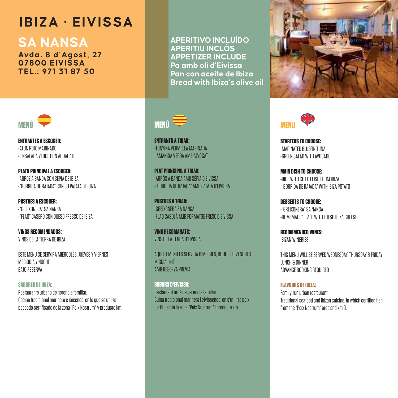### **SA NANSA**

**Avda. 8 d´Agost, 27 07800 EIVISSA TEL.: 971 31 87 50**



**ENTRANTES A ESCOGER:** -ATÚN ROJO MARINADO - ENSALADA VERDE CON AGUACATE

**PLATO PRINCIPAL A ESCOGER:**  -ARROZ A BANDA CON SEPIA DE IBIZA -"BORRIDA DE RAJADA" CON SU PATATA DE IBIZA

**POSTRES A ESCOGER:** -"GREIXONERA" SA NANSA -"FLAÓ" CASERO CON QUESO FRESCO DE IBIZA

**VINOS RECOMENDADOS:** VINOS DE LA TIERRA DE IBIZA

ESTE MENÚ SE SERVIRÁ MIÉRCOLES, JUEVES Y VIERNES MEDIODÍA Y NOCHE BAJO RESERVA

**SABORES DE IBIZA:**  Restaurante urbano de gerencia familiar.

Cocina tradicional marinera e ibicenca, en la que se utiliza pescado certificado de la zona "Peix Nostrum" y producto km. **APERITIVO INCLUÍDO APERITIU INCLÒS APPETIZER INCLUDE Pa amb oli d'Eivissa Pan con aceite de Ibiza Bread with Ibiza's olive oil** 



**ENTRANTS A TRIAR:** -TONYINA VERMELLA MARINADA - AMANIDA VERDA AMB ALVOCAT

**PLAT PRINCIPAL A TRIAR:**  -ARRÒS A BANDA AMB SÉPIA D'EIVISSA -"BORRIDA DE RAJADA" AMB PATATA D'EIVISSA

**POSTRES A TRIAR:** -GREIXONERA SA NANSA -FLAÓ CASOLÀ AMB FORMATGE FRESC D'EIVISSA

**VINS RECOMANATS:** VINS DE LA TERRA D'EIVISSA

AQUEST MENÚ ES SERVIRÀ DIMECRES, DIJOUS I DIVENDRES MIGDIA I NIT AMB RESERVA PRÈVIA

**SABORS D'EIVISSA:**  Restaurant urbà de gerència familiar. Cuina tradicional marinera i eivissenca, on s'utilitza peix certificat de la zona "Peix Nostrum" i producte km.





**STARTERS TO CHOOSE:**  -MARINATED BLUEFIN TUNA -GREEN SALAD WITH AVOCADO

**MAIN DISH TO CHOOSE:** -RICE WITH CUTTLEFISH FROM IBIZA -"BORRIDA DE RAJADA" WITH IBIZA POTATO

**DESSERTS TO CHOOSE:** -"GREIXONERA" SA NANSA -HOMEMADE" FLAÓ" WITH FRESH IBIZA CHEESE

**RECOMMENDED WINES:**  IBIZAN WINERIES

THIS MENU WILL BE SERVED WEDNESDAY, THURSDAY & FRIDAY LUNCH & DINNER ADVANCE BOOKING REQUIRED.

**FLAVOURS OF IBIZA:** Family-run urban restaurant. Traditional seafood and Ibizan cuisine, in which certified fish from the "Peix Nostrum" area and km 0.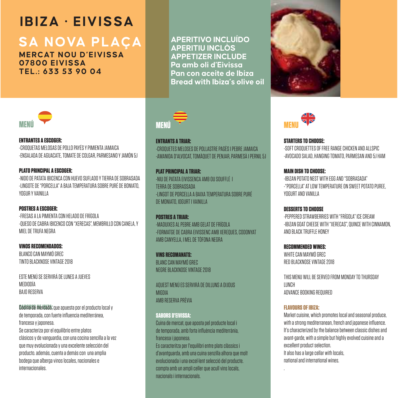# **SA NOVA PLACA**

**MERCAT NOU D'EIVISSA 07800 EIVISSA TEL.: 633 53 90 04**

**APERITIVO INCLUÍDO APERITIU INCLÒS APPETIZER INCLUDE Pa amb oli d'Eivissa Pan con aceite de Ibiza Bread with Ibiza's olive oil** 





**ENTRANTES A ESCOGER:** -CROQUETAS MELOSAS DE POLLO PAYÉS Y PIMIENTA JAMAICA -ENSALADA DE AGUACATE, TOMATE DE COLGAR, PARMESANO Y JAMÓN 5J

**PLATO PRINCIPAL A ESCOGER:**  -NIDO DE PATATA IBICENCA CON HUEVO SUFLADO Y TIERRA DE SOBRASADA -LINGOTE DE "PORCELLA" A BAJA TEMPERATURA SOBRE PURÉ DE BONIATO, YOGUR Y VAINILLA

**POSTRES A ESCOGER:** -FRESAS A LA PIMIENTA CON HELADO DE FRÍGOLA -QUESO DE CABRA IBICENCO CON "XERECAS", MEMBRILLO CON CANELA, Y MIEL DE TRUFA NEGRA

**VINOS RECOMENDADOS:** BLANCO CAN MAYMÓ GREC TINTO BLACKNOSE VINTAGE 2018

ESTE MENÚ SE SERVIRÁ DE LUNES A JUEVES MEDIODÍA BAJO RESERVA

**Cócina de mercado**, que apuesta por el producto local y de temporada, con fuerte influencia mediterránea, francesa y japonesa. Se caracteriza por el equilibrio entre platos clásicos y de vanguardia, con una cocina sencilla a la vez que muy evolucionada y una excelente selección del producto. además, cuenta a demás con una amplia bodega que alberga vinos locales, nacionales e internacionales.



**ENTRANTS A TRIAR:** -CROQUETES MELOSES DE POLLASTRE PAGÈS I PEBRE JAMAICA -AMANIDA D'ALVOCAT, TOMÀQUET DE PENJAR, PARMESÀ I PERNIL 5J

**PLAT PRINCIPAL A TRIAR:**  -NIU DE PATATA EIVISSENCA AMB OU SOUFFLÉ I TERRA DE SOBRASSADA -LINGOT DE PORCELLA A BAIXA TEMPERATURA SOBRE PURÉ DE MONIATO, IOGURT I VAINILLA

**POSTRES A TRIAR:** -MADUIXES AL PEBRE AMB GELAT DE FRÍGOLA -FORMATGE DE CABRA EIVISSENC AMB XEREQUES, CODONYAT AMB CANYELLA, I MEL DE TÒFONA NEGRA

**VINS RECOMANATS:** BLANC CAN MAYMÓ GREC NEGRE BLACKNOSE VINTAGE 2018

AQUEST MENÚ ES SERVIRÀ DE DILLUNS A DIJOUS MIGDIA AMB RESERVA PRÈVIA

#### **SABORS D'EIVISSA:**

Cuina de mercat, que aposta pel producte local i de temporada, amb forta influència mediterrània, francesa i japonesa. Es caracteritza per l'equilibri entre plats clàssics i

d'avantguarda, amb una cuina senzilla alhora que molt evolucionada i una excel·lent selecció del producte. compta amb un ampli celler que acull vins locals, nacionals i internacionals.



**STARTERS TO CHOOSE:**  -SOFT CROQUETTES OF FREE RANGE CHICKEN AND ALLSPIC. -AVOCADO SALAD, HANGING TOMATO, PARMESAN AND 5J HAM

**MAIN DISH TO CHOOSE:** -IBIZAN POTATO NEST WITH EGG AND "SOBRASADA" -"PORCELLA" AT LOW TEMPERATURE ON SWEET POTATO PUREE, YOGURT AND VANILLA

**DESSERTS TO CHOOSE** -PEPPERED STRAWBERRIES WITH "FRÍGOLA" ICE CREAM -IBIZAN GOAT CHEESE WITH "XERECAS", QUINCE WITH CINNAMON, AND BLACK TRUFFLE HONEY

**RECOMMENDED WINES:**  WHITE CAN MAYMÓ GREC RED BLACKNOSE VINTAGE 2018

THIS MENU WILL BE SERVED FROM MONDAY TO THIRSDAY LUNCH ADVANCE BOOKING REQUIRED

#### **FLAVOURS OF IBIZA:**

Market cuisine, which promotes local and seasonal produce, with a strong mediterranean, french and japanese influence. It's characterized by the balance between classic dishes and avant-garde, with a simple but highly evolved cuisine and a excellent product selection. It also has a large cellar with locals, national and international wines.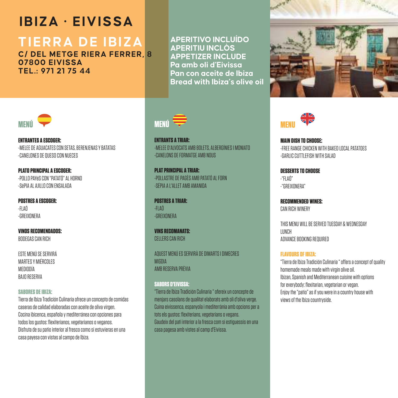# **TIERRA DE IBIZA**

**C/ DEL METGE RIERA FERRER, 8 07800 EIVISSA TEL.: 971 21 75 44**







**ENTRANTES A ESCOGER:** -MELEE DE AGUACATES CON SETAS, BERENJENAS Y BATATAS -CANELONES DE QUESO CON NUECES

**PLATO PRINCIPAL A ESCOGER:**  -POLLO PAYéS CON "PATATÓ" AL HORNO -SéPIA AL AJILLO CON ENSALADA

**POSTRES A ESCOGER:** -FLAÓ -GREIXONERA

**VINOS RECOMENDADOS:** BODEGAS CAN RICH

ESTE MENÚ SE SERVIRÁ MARTER Y MIÉRICOLER MEDIODÍA BAJO RESERVA

#### **SABORES DE IBIZA:**

Tierra de Ibiza Tradición Culinaria ofrece un concepto de comidas caseras de calidad elaboradas con aceite de oliva virgen. Cocina ibicenca, española y mediterránea con opciones para todos los gustos: flexiterianos, vegetarianos o veganos. Disfruta de su patio interior al fresco como si estuvieras en una casa payesa con vistas al campo de Ibiza.



**ENTRANTS A TRIAR:** -MELEE D'ALVOCATS AMB BOLETS, ALBERGÍNIES I MONIATO -CANELONS DE FORMATGE AMB NOUS

**PLAT PRINCIPAL A TRIAR:**  -POLLASTRE DE PAGÈS AMB PATATÓ AL FORN -SÉPIA A L'ALLET AMB AMANIDA

**POSTRES A TRIAR:** -FLAÓ -GREIXONERA

**VINS RECOMANATS:** CELLERS CAN RICH

AQUEST MENÚ ES SERVIRÀ DE DIMARTS I DIMECRES MIGDIA AMB RESERVA PRÈVIA

#### **SABORS D'EIVISSA:**

"Tierra de Ibiza Tradición Culinaria " ofereix un concepte de menjars casolans de qualitat elaborats amb oli d'oliva verge. Cuina eivissenca, espanyola i mediterrània amb opcions per a tots els gustos: flexiterians, vegetarians o vegans.

Gaudeix del pati interior a la fresca com si estiguessis en una casa pagesa amb vistes al camp d'Eivissa.



**MAIN DISH TO CHOOSE:** -FREE RANGE CHICKEN WITH BAKED LOCAL PATATOES -GARLIC CUTTLEFISH WITH SALAD

**DESSERTS TO CHOOSE** -"FLAÓ" -"GREIXONERA"

**RECOMMENDED WINES:**  CAN RICH WINERY

THIS MENU WILL BE SERVED TUESDAY & WEDNESDAY LUNCH ADVANCE BOOKING BEQUIRED

#### **FLAVOURS OF IBIZA:**

"Tierra de Ibiza Tradición Culinaria " offers a concept of quality homemade meals made with virnin olive oil. Ibizan, Spanish and Mediterranean cuisine with options for everybody: flexitarian, vegetarian or vegan. Enjoy the "patio" as if you were in a country house with views of the Ibiza countryside.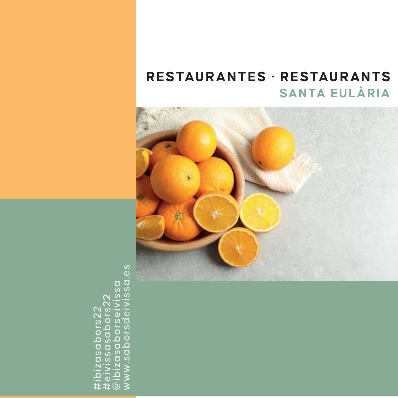# **SANTA EULÀRIA RESTAURANTES · RESTAURANTS**



#ibizasabors22 #eivissasabors22 @ibizasaborseivissa www.saborsdeivissa.es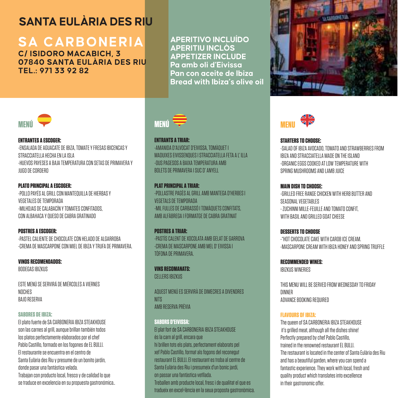# **SANTA EULÀPIA DES PILL**

# **SA CARBONERIA**

**C/ ISIDORO MACABICH, 3 07840 SANTA EULÀRIA DES RIU TEL.: 971 33 92 82**

**APERITIVO INCLUÍDO APERITIU INCLÒS APPETIZER INCLUDE Pa amb oli d'Eivissa Pan con aceite de Ibiza Bread with Ibiza's olive oil** 





#### **ENTRANTES A ESCOGER:**

-ENSALADA DE AGUACATE DE IBIZA, TOMATE Y FRESAS IBICENCAS Y STRACCIATELLA HECHA EN LA ISLA -HUEVOS PAYESES A BAJA TEMPERATURA CON SETAS DE PRIMAVERA Y JUGO DE CORDERO

#### **PLATO PRINCIPAL A ESCOGER:**

-POLLO PAYÉS AL GRILL CON MANTEQUILLA DE HIERBAS Y VEGETALES DE TEMPORADA -MILHOJAS DE CALABACÍN Y TOMATES CONFITADOS, CON ALBAHACA Y QUESO DE CABRA GRATINADO

#### **POSTRES A ESCOGER:**

-PASTEL CALIENTE DE CHOCOLATE CON HELADO DE ALGARROBA -CREMA DE MASCARPONE CON MIEL DE IBIZA Y TRUFA DE PRIMAVERA.

#### **VINOS RECOMENDADOS:**

BODEGAS IBIZKUS

ESTE MENÚ SE SERVIRÁ DE MIÉRCOLES A VIERNES NOCHES BAJO RESERVA

#### **SABORES DE IBIZA:**

El plato fuerte de SA CARBONERIA IBIZA STEAKHOUSE son las carnes al grill, aunque brillan también todos los platos perfectamente elaborados por el chef Pablo Castillo, formado en los fogones de EL BULLI. El restaurante se encuentra en el centro de Santa Eulària des Riu y presume de un bonito jardín, donde pasar una fantástica velada. Trabajan con producto local, fresco y de calidad lo que se traduce en excelencia en su propuesta gastronómica..



#### **ENTRANTS A TRIAR:**

-AMANIDA D'ALVOCAT D'EIVISSA, TOMÀQUET I MADUIXES EIVISSENQUES I STRACCIATELLA FETA A L' ILLA -OUS PAGESOS A BAIXA TEMPERATURA AMB BOLETS DE PRIMAVERA I SUC D' ANYELL

#### **PLAT PRINCIPAL A TRIAR-**

-POLLASTRE PAGÈS AL GRILL AMB MANTEGA D'HERBES I VEGETALS DE TEMPORADA -MIL FULLES DE CARBASSÓ I TOMÀQUETS CONFITATS, AMB ALFÀBREGA I FORMATGE DE CABRA GRATINAT

**POSTRES A TRIAR:** -PASTÍS CALENT DE XOCOLATA AMB GELAT DE GARROVA -CREMA DE MASCARPONE AMB MEL D' EIVISSA I TÒFONA DE PRIMAVERA.

**VINS RECOMANATS:** CELLERS IBIZKUS

AQUEST MENÚ ES SERVIRÀ DE DIMECRES A DIVENDRES NITS AMB RESERVA PRÈVIA

#### **SABORS D'EIVISSA:**

El plat fort de SA CARBONERIA IBIZA STEAKHOUSE és la carn al grill, encara que hi brillen tots els plats, perfectament elaborats pel xef Pablo Castillo, format als fogons del reconegut restaurant EL BULLI. El restaurant es troba al centre de Santa Eulària des Riu i presumeix d'un bonic jardí, on passar una fantàstica vetllada. Treballen amb producte local, fresc i de qualitat el que es tradueix en excel•lència en la seua proposta gastronòmica.



#### **STARTERS TO CHOOSE:**

-SALAD OF IBIZA AVOCADO, TOMATO AND STRAWBERRIES FROM IBIZA AND STRACCIATELLA MADE ON THE ISLAND -ORGANIC EGGS COOKED AT LOW TEMPERATURE WITH SPRING MUSHROOMS AND LAMB JUICE

#### **MAIN DISH TO CHOOSE:**

-GRILLED FREE RANGE CHICKEN WITH HERB BUTTER AND SEASONAL VEGETABLES - ZUCHINNI MILLE-FEUILLE AND TOMATO CONFIT, WITH BASIL AND GRILLED GOAT CHEESE

**DESSERTS TO CHOOSE** -"HOT CHOCOLATE CAKE WITH CAROB ICE CREAM. -MASCARRONE CREAM WITH IBIZA HONEY AND SPRING TRUFFLE

**RECOMMENDED WINES:**  IBIZKUS WINERIES

THIS MENU WILL BE SERVED FROM WEDNESDAY TO FRIDAY DINNER ADVANCE BOOKING REQUIRED

#### **FLAVOURS OF IBIZA:**

The queen of SA CARBONERIA IBIZA STEAKHOUSE it's grilled meat, although all the dishes shine! Perfectly prepared by chef Pablo Castillo, trained in the renowned restaurant EL BULLI. The restaurant is located in the center of Santa Eulària des Riu and has a beautiful garden, where you can spend a fantastic experience. They work with local, fresh and quality product which translates into excellence in their gastronomic offer.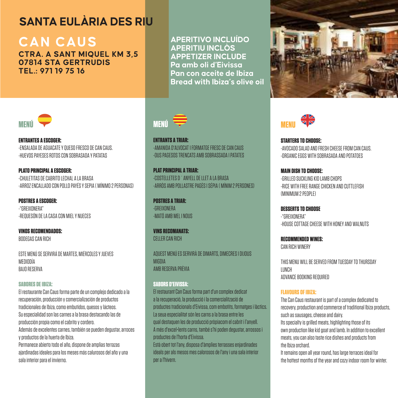# **CAN CAUS**

**CTRA. A SANT MIQUEL KM 3,5 07814 STA GERTRUDIS TEL.: 971 19 75 16**

**APERITIVO INCLUÍDO APERITIU INCLÒS APPETIZER INCLUDE Pa amb oli d'Eivissa Pan con aceite de Ibiza Bread with Ibiza's olive oil** 





**ENTRANTES A ESCOGER:** -ENSALADA DE AGUACATE Y QUESO FRESCO DE CAN CAUS. -HUEVOS PAYESES ROTOS CON SOBRASADA Y PATATAS

**PLATO PRINCIPAL A ESCOGER:** -CHULETITAS DE CABRITO LECHAL A LA BRASA -ARROZ ENCALLADO CON POLLO PAYÉS Y SEPIA ( MÍNIMO 2 PERSONAS)

**POSTRES A ESCOGER:** -"GREIXONERA" -REQUESÓN DE LA CASA CON MIEL Y NUECES

**VINOS RECOMENDADOS:** BODEGAS CAN RICH

ESTE MENÚ SE SERVIRÁ DE MARTES, MIÉRCOLES Y JUEVES MEDIODÍA BAJO RESERVA

#### **SABORES DE IBIZA:**

El restaurante Can Caus forma parte de un complejo dedicado a la recuperación, producción y comercialización de productos tradicionales de Ibiza, como embutidos, quesos y lácteos. Su especialidad son las carnes a la brasa destacando las de producción propia como el cabrito y cordero. Además de excelentes carnes, también se pueden degustar, arroces y productos de la huerta de Ibiza. Permanece abierto todo el año, dispone de amplias terrazas

ajardinadas ideales para los meses más calurosos del año y una sala interior para el invierno.



 **ENTRANTS A TRIAR:** -AMANIDA D'ALVOCAT I FORMATGE FRESC DE CAN CAUS -OUS PAGESOS TRENCATS AMB SOBRASSADA I PATATES

**PLAT PRINCIPAL A TRIAR:**  -COSTELLETES D´ANYELL DE LLET A LA BRASA -ARRÒS AMB POLLASTRE PAGÈS I SÉPIA ( MÍNIM 2 PERSONES)

**POSTRES A TRIAR:** -GREIXONERA -MATÓ AMB MEL I NOUS

**VINS RECOMANATS:** CELLER CAN RICH

AQUEST MENÚ ES SERVIRÀ DE DIMARTS, DIMECRES I DIJOUS MIGDIA AMB RESERVA PRÈVIA

#### **SABORS D'EIVISSA:**

El restaurant Can Caus forma part d'un complex dedicat a la recuperació, la producció i la comercialització de productes tradicionals d'Eivissa, com embotits, formatges i làctics. La seua especialitat són les carns a la brasa entre les qual destaquen les de producció pròpiacom el cabrit i l'anyell. A més d'excel•lents carns, també s'hi poden degustar, arrossos i productes de l'horta d'Eivissa. Està obert tot l'any, disposa d'àmplies terrasses enjardinades ideals per als mesos mes calorosos de l'any i una sala interior per a l'hivern.



**STARTERS TO CHOOSE:**  -AVOCADO SALAD AND FRESH CHEESE FROM CAN CAUS. -ORGANIC EGGS WITH SOBRASADA AND POTATOES

**MAIN DISH TO CHOOSE:** -GRILLED SUCKLING KID LAMB CHOPS -RICE WITH FREE RANGE CHICKEN AND CUTTLEFISH (MINIMUM 2 PEOPLE)

**DESSERTS TO CHOOSE** -"GREIXONERA" -HOUSE COTTAGE CHEESE WITH HONEY AND WALNUTS

**RECOMMENDED WINES:**  CAN RICH WINERY

THIS MENU WILL BE SERVED FROM TUESDAY TO THURSDAY LUNCH ADVANCE BOOKING REQUIRED

#### **FLAVOURS OF IBIZA:**

The Can Caus restaurant is part of a complex dedicated to recovery, production and commerce of traditional Ibiza products, such as sausages, cheese and dairy. Its specialty is grilled meats, highlighting those of its own production like kid goat and lamb. In addition to excellent meats, you can also taste rice dishes and products from the Ibiza orchard. It remains open all year round, has large terraces ideal for

the hottest months of the year and cozy indoor room for winter.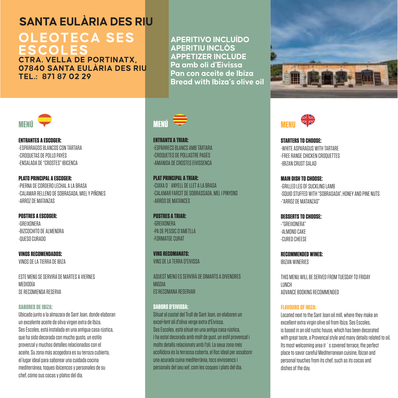#### **OLEOTECA SES ESCOLES CTRA. VELLA DE PORTINATX,**

**07840 SANTA EULÀRIA DES RIU TEL.: 871 87 02 29**

**APERITIVO INCLUÍDO APERITIU INCLÒS APPETIZER INCLUDE Pa amb oli d'Eivissa Pan con aceite de Ibiza Bread with Ibiza's olive oil** 





**ENTRANTES A ESCOGER:** -ESPÁRRAGOS BLANCOS CON TÁRTARA -CROQUETAS DE POLLO PAYÉS -ENSALADA DE "CROSTES" IBICENCA

**PLATO PRINCIPAL A ESCOGER:**  -PIERNA DE CORDERO LECHAL A LA BRASA -CALAMAR RELLENO DE SOBRASADA, MIEL Y PIÑONES -ARROZ DE MATANZAS

#### **POSTRES A COPORER-**-GREIXONERA -BIZCOCHITO DE ALMENDRA -QUESO CURADO

**VINOS RECOMENDADOS:** VINOS DE LA TIERRA DE IBIZA

ESTE MENÚ SE SERVIRÁ DE MARTES A VIERNES MEDIODÍA SE RECOMIENDA RESERVA

#### **SABORES DE IBIZA:**

Ubicado junto a la almazara de Sant Joan, donde elaboran un excelente aceite de oliva virgen extra de Ibiza. Ses Escoles, está instalada en una antigua casa rústica, que ha sido decorada con mucho gusto, un estilo provenzal y muchos detalles relacionados con el aceite. Su zona más acogedora es su terraza cubierta, el lugar ideal para saborear una cuidada cocina mediterránea, toques ibicencos y personales de su chef, cómo sus cocas y platos del día.



 **ENTRANTS A TRIAR:** -ESPÀRRECS BLANCS AMB TÀRTARA -CROQUETES DE POLLASTRE PAGÈS -AMANIDA DE CROSTES EIVISSENCA

**PLAT PRINCIPAL A TRIAR:**  -CUIXA D´ANYELL DE LLET A LA BRASA -CALAMAR FARCIT DE SOBRASSADA, MEL I PINYONS -ARRÒS DE MATANCES

**POSTRES A TRIAR-**-GREIXONERA -PA DE PESSIC D'AMETLLA -FORMATGE CURAT

**VINS RECOMANATS:** VING DE LA TERRA D'ENJOCA

AQUEST MENÚ ES SERVIRÀ DE DIMARTS A DIVENDRES MIGDIA ES RECOMANA RESERVAR

#### **SABORS D'EIVISSA:**

Situat al costat del Trull de Sant Joan, on elaboren un excel•lent oli d'oliva verge extra d'Eivissa. Ses Escoles, està situat en una antiga casa rústica, i ha estat decorada amb molt de gust, un estil provençal i molts detalls relacionats amb l'oli. La seua zona més acollidora és la terrassa coberta, el lloc ideal per assaborir una acurada cuina mediterrània, tocs eivissencs i personals del seu xef, com les coques i plats del dia.



**STARTERS TO CHOOSE:**  -WHITE ASPARAGUS WITH TARTARE -FREE RANGE CHICKEN CROQUETTES -IBIZAN CRUST SALAD

**MAIN DISH TO CHOOSE:** -GRILLED LEG OF SUCKLING LAMB -SOUID STUFFED WITH "SOBRASADA" HONEY AND PINE NUTS. -"ARROZ DE MATANZAS"

**DESSERTS TO CHOOSE:** -"GREIXONERA" -ALMOND CAKE -CURED CHEESE

**RECOMMENDED WINES:**  IBIZAN WINERIES

THIS MENU WILL BE SERVED FROM TUESDAY TO FRIDAY LUNCH ADVANCE BOOKING RECOMMENDED

#### **FLAVOURS OF IBIZA:**

Located next to the Sant Joan oil mill, where they make an excellent extra virgin olive oil from Ibiza. Ses Escoles, is based in an old rustic house, which has been decorated with great taste, a Provencal style and many details related to oil. Its most welcoming area it `s covered terrace, the perfect place to savor careful Mediterranean cuisine, Ibizan and personal touches from its chef, such as its cocas and dishes of the day.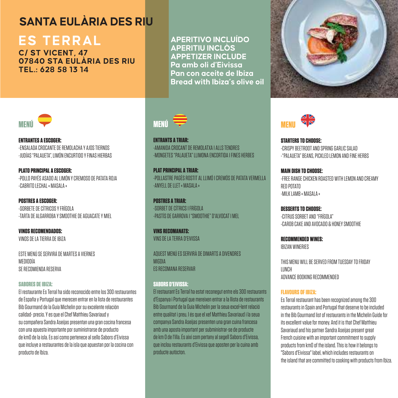# **ES TERRAL**

**C/ ST VICENT, 47 07840 STA EULÀRIA DES RIU TEL.: 628 58 13 14**

**APERITIVO INCLUÍDO APERITIU INCLÒS APPETIZER INCLUDE Pa amb oli d'Eivissa Pan con aceite de Ibiza Bread with Ibiza's olive oil** 





**ENTRANTES A ESCOGER:** -ENSALADA CROCANTE DE REMOLACHA Y AJOS TIERNOS -JUDÍAS "PALAUETA", LIMÓN ENCURTIDO Y FINAS HIERBAS

**PLATO PRINCIPAL A ESCOGER:**  -POLLO PAYÉS ASADO AL LIMÓN Y CREMOSO DE PATATA ROJA -CABRITO LECHAL « MASALA »

**POSTRES A ESCOGER:** -SORBETE DE CÍTRICOS Y FRÍGOLA -TARTA DE ALGARROBA Y SMOOTHIE DE AGUACATE Y MIEL

**VINOS RECOMENDADOS:** VINOS DE LA TIERRA DE IBIZA

ESTE MENÚ SE SERVIRÁ DE MARTES A VIERNES MEDIODÍA SE RECOMIENDA RESERVA

#### **SABORES DE IBIZA:**

El restaurante Es Terral ha sido reconocido entre los 300 restaurantes de España y Portugal que merecen entrar en la lista de restaurantes Bib Gourmand de la Guía Michelin por su excelente relación calidad- precio. Y es que el Chef Matthieu Savariaud y su compañera Sandra Aseijas presentan una gran cocina francesa con una apuesta importante por suministrarse de producto de km0 de la isla. Es así como pertenece al sello Sabors d'Eivissa que incluye a restaurantes de la isla que apuestan por la cocina con producto de Ibiza.



 **ENTRANTS A TRIAR:** -AMANIDA CROCANT DE REMOLATXA I ALLS TENDRES -MONGETES "PALAUETA" LLIMONA ENCORTIDA I FINES HERBES

**PLAT PRINCIPAL A TRIAR:**  -POLLASTRE PAGÈS ROSTIT AL LLIMÓ I CREMÓS DE PATATA VERMELLA -ANYELL DE LLET « MASALA »

**POSTRES A TRIAR:** -SORBET DE CÍTRICS I FRÍGOLA -PASTÍS DE GARROVA I "SMOOTHIE" D'ALVOCAT I MEL

**VINS RECOMANATS:** VINS DE LA TERRA D'EIVISSA

AQUEST MENÚ ES SERVIRÀ DE DIMARTS A DIVENDRES MIGDIA ES RECOMANA RESERVAR

#### **SABORS D'EIVISSA:**

El restaurant Es Terral ha estat reconegut entre els 300 restaurants d'Espanya i Portugal que mereixen entrar a la llista de restaurants Bib Gourmand de la Guia Michelin per la seua excel•lent relació entre qualitat i preu. I és que el xef Matthieu Savariaud i la seua companya Sandra Aseijas presenten una gran cuina francesa amb una aposta important per subministrar-se de producte de km 0 de l'illa. És així com pertany al segell Sabors d'Eivissa, que inclou restaurants d'Eivissa que aposten per la cuina amb producte autòcton.



**STARTERS TO CHOOSE:**  -CRISPY BEETROOT AND SPRING GARLIC SALAD -"PALAUETA" BEANS, PICKLED LEMON AND FINE HERBS

**MAIN DISH TO CHOOSE:** -FREE RANGE CHICKEN ROASTED WITH LEMON AND CREAMY RED POTATO -MILK LAMB « MASALA »

**DESSERTS TO CHOOSE:** -CITRUS SORBET AND "FRÍGOLA" -CAROB CAKE AND AVOCADO & HONEY SMOOTHIE

**RECOMMENDED WINES:**  IBIZAN WINERIES

THIS MENU WILL BE SERVED FROM TUESDAY TO FRIDAY LUNCH ADVANCE BOOKING RECOMMENDED

#### **FLAVOURS OF IBIZA:**

Es Terral restaurant has been recognized among the 300 restaurants in Spain and Portugal that deserve to be included in the Bib Gourmand list of restaurants in the Michelin Guide for its excellent value for money. And it is that Chef Matthieu Savariaud and his partner Sandra Aseijas present great French cuisine with an important commitment to supply products from km0 of the island. This is how it belongs to "Sabors d'Eivissa" label, which includes restaurants on the island that are committed to cooking with products from Ibiza.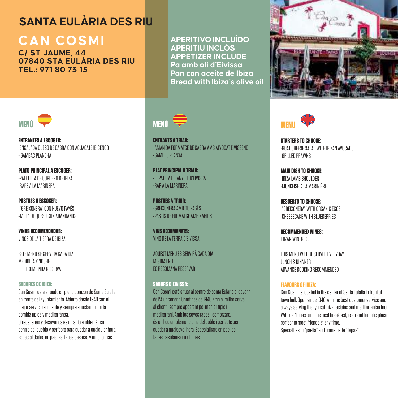# **CAN COSMI**

**C/ ST JAUME, 44 07840 STA EULÀRIA DES RIU TEL.: 971 80 73 15**

**APERITIVO INCLUÍDO APERITIU INCLÒS APPETIZER INCLUDE Pa amb oli d'Eivissa Pan con aceite de Ibiza Bread with Ibiza's olive oil** 



 **ENTRANTS A TRIAR:** -AMANIDA FORMATGE DE CABRA AMB ALVOCAT EIVISSENC -GAMBES PLANXA

**PLAT PRINCIPAL A TRIAR:**  -ESPATLLA D´ANYELL D'EIVISSA -RAP A LA MARINERA

**POSTRES A TRIAR:** -GREIXONERA AMB OU PAGÈS -PASTÍS DE FORMATGE AMB NABIUS

**VINS RECOMANATS:** VINS DE LA TERRA D'EIVISSA

AQUEST MENÚ ES SERVIRÀ CADA DIA MIGDIA I NIT ES RECOMANA RESERVAR

#### **SABORS D'EIVISSA:**  Can Cosmi està situat al centre de santa Eulària al davant de l'Ajuntament. Obert des de 1940 amb el millor servei al client i sempre apostant pel menjar típic i mediterrani. Amb les seves tapes i esmorzars, és un lloc emblemàtic dins del poble i perfecte per quedar a qualsevol hora. Especialitats en paelles, tapes casolanes i molt més





**STARTERS TO CHOOSE:**  -GOAT CHEESE SALAD WITH IBIZAN AVOCADO -GRILLED PRAWNS

**MAIN DISH TO CHOOSE:** -IBIZA LAMB SHOULDER -MONKFISH A LA MARINIÈRE

**DESSERTS TO CHOOSE:** -"GREIXONERA" WITH ORGANIC EGGS -CHEESECAKE WITH BLUEBERRIES

**RECOMMENDED WINES:**  IBIZAN WINERIES

THIS MENU WILL BE SERVED EVERYDAY LUNCH & DINNNER ADVANCE BOOKING RECOMMENDED

#### **FLAVOURS OF IBIZA:**

Can Cosmi is located in the center of Santa Eulàlia in front of town hall. Open since 1940 with the best customer service and always serving the typical ibiza recipies and mediterranian food. With its "Tanas" and the best breakfast, is an emblematic place perfect to meet friends at any time. Specialties in "paella" and homemade "Tapas"



**ENTRANTES A ESCOGER:** -ENSALADA QUESO DE CABRA CON AGUACATE IBICENCO - GAMBAS PLANCHA

**PLATO PRINCIPAL A ESCOGER:**  -PALETILLA DE CORDERO DE IBIZA -RAPE A LA MARINERA

**POSTRES A ESCOGER:** -"GREIXONERA" CON HUEVO PAYÉS -TARTA DE QUESO CON ARÁNDANOS

**VINOS RECOMENDADOS:** VINOS DE LA TIERRA DE IBIZA

ESTE MENÚ SE SERVIRÁ CADA DÍA MEDIODÍA Y NOPHE SE RECOMIENDA RESERVA

#### **SABORES DE IBIZA:**

Can Cosmi está situado en pleno corazón de Santa Eulalia en frente del ayuntamiento. Abierto desde 1940 con el mejor servicio al cliente y siempre apostando por la comida típica y mediterránea. Ofrece tapas y desayunos es un sitio emblemático dentro del pueblo y perfecto para quedar a cualquier hora. Especialidades en paellas, tapas caseras y mucho más.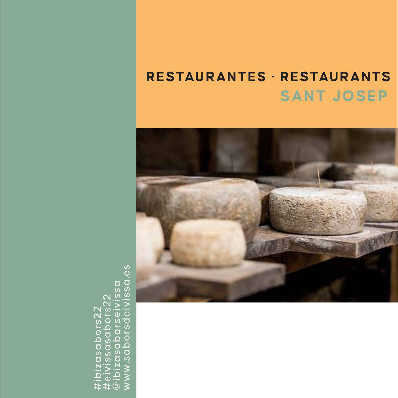# **SANT JOSEP RESTAURANTES · RESTAURANTS**



#ibizasabors22 #eivissasabors22 @ibizasaborseivissa www.saborsdeivissa.es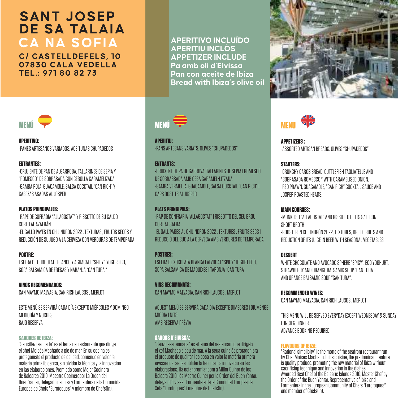# **CA NA SOFIA SANT JOSEP DE SA TALAIA**

**C/ CASTELLDEFELS, 10 07830 CALA VEDELLA TEL.: 971 80 82 73**





**APERITIVO:**  -PANES ARTESANOS VARIADOS. ACEITUNAS CHUPADEDOS

#### **ENTRANTES:**

-CRUJIENTE DE PAN DE ALGARROBA, TALLARINES DE SEPIA Y "ROMESCO" DE SOBRASADA CON CEBOLLA CARAMELIZADA -GAMBA ROJA, GUACAMOLE, SALSA COCKTAIL "CAN RICH" Y CABEZAS ASADAS AL JOSPER

#### **PLATOS PRINCIPALES:**

-RAPE DE COFRADIA "ALLAGOSTAT" Y RISSOTTO DE SU CALDO CORTO AL AZAFRÁN -EL GALLO PAYÉS EN CHILINDRÓN 2022 , TEXTURAS , FRUTOS SECOS Y REDUCCIÓN DE SU JUGO A LA CERVEZA CON VERDURAS DE TEMPORADA

#### **POSTRE:**

ESFERA DE CHOCOLATE BLANCO Y AGUACATE "SPICY", YOGUR ECO, SOPA BALSÁMICA DE FRESAS Y NARANJA "CAN TURA "

**VINOS RECOMENDADOS:** CAN MAYMO MALVASIA, CAN RICH LAUSOS , MERLOT

ESTE MENÚ SE SERVIRÁ CADA DÍA EXCEPTO MIÉRCOLES Y DOMINGO MEDIODÍA Y NOCHES. BAJO RESERVA

#### **SABORES DE IBIZA:**

"Sencillez razonada" es el lema del restaurante que dirige el chef Moisés Machado a pie de mar. En su cocina es protagonista el producto de calidad, poniendo en valor la materia prima ibicenca, sin olvidar la técnica y la innovación en las elaboraciones. Premiado como Mejor Cocinero de Baleares 2010; Maestro Cocineropor La Orden del Buen Yantar, Delegado de Ibiza y Formentera de la Comunidad Europea de Chefs "Eurotoques" y miembro de Chefs(in).



**APERITIU:** -PANS ARTESANS VARIATS. OLIVES "CHUPADEDOS"

#### **ENTRANTS:**

-CRUIXENT DE PA DE GARROVA, TALLARINES DE SÉPIA I ROMESCO DE SOBRASSADA AMB CEBA CARAMEL•LITZADA -GAMBA VERMELLA, GUACAMOLE, SALSA COCKTAIL "CAN RICH" I CAPS ROSTITS AL JOSPER

#### **PLATS PRINCIPALS:**

-RAP DE CONFRARIA "ALLAGOSTAT" I RISSOTTO DEL SEU BROU CURT AL SAFRÀ -EL GALL PAGÈS AL CHILINDRÓN 2022 , TEXTURES , FRUITS SECS I REDUCCIÓ DEL SUC A LA CERVESA AMB VERDURES DE TEMPORADA

**POSTRES:** ESFERA DE XOCOLATA BLANCA I ALVOCAT "SPICY", IOGURT ECO, SOPA BALSÀMICA DE MADUIXES I TARONJA "CAN TURA"

**VINS RECOMANATS:** CAN MAYMO MALVASIA, CAN RICH LAUSOS , MERLOT

AQUEST MENÚ ES SERVIRÀ CADA DIA EXCEPTE DIMECRES I DIUMENGE MIGDIA I NITS. AMB RESERVA PRÈVIA

#### **SABORS D'EIVISSA:**

"Senzillesa raonada" és el lema del restaurant que dirigeix el xef Machado a peu de mar. A la seua cuina és protagonista el producte de qualitat i es posa en valor la matèria primera eivissenca, sense oblidar la tècnica i la innovació en les elaboracions. Ha estat premiat com a Millor Cuiner de les Balears 2010 i és Mestre Cuiner per la Orden del Buen Yantar, delegat d'Eivissa i Formentera de la Comunitat Europea de Xefs "Eurotoques" i membre de Chefs(in).





**APPETIZERS :**  -ASSORTED ARTISAN BREADS. OLIVES "CHUPADEDOS"

#### **STARTERS:**

-CRUNCHY CAROB BREAD, CUTTLEFISH TAGLIATELLE AND "SOBRASADA ROMESCO " WITH CARAMELISED ONION. -RED PRAWN, GUACAMOLE, "CAN RICH" COCKTAIL SAUCE AND JOSPER ROASTED HEADS.

#### **MAIN COURSES:**

-MONKFISH "ALLAGOSTAT" AND RISSOTTO OF ITS SAFFRON SHORT BROTH -ROOSTER IN CHILINDRÓN 2022, TEXTURES, DRIED FRUITS AND REDUCTION OF ITS JUICE IN BEER WITH SEASONAL VEGETABLES

#### **DESSERT**

WHITE CHOCOLATE AND AVOCADO SPHERE "SPICY", ECO YOGHURT, STRAWBERRY AND ORANGE BALSAMIC SOUP "CAN TURA AND ORANGE BALSAMIC SOUP "CAN TURA".

**RECOMMENDED WINES:** 

CAN MAYMO MALVASIA, CAN RICH LAUSOS , MERLOT

THIS MENU WILL BE SERVED EVERYDAY EXCEPT WEDNESDAY & SUNDAY LUNCH & DINNER. ADVANCE BOOKING REQUIRED

**FLAVOURS OF IBIZA:** "Rational simplicity" is the motto of the seafront restaurant run by Chef Moisés Machado. In its cuisine, the predominant feature is quality produce, promoting the raw material of Ibiza without sacrificing technique and innovation in the dishes. Awarded Best Chef of the Balearic Islands 2010; Master Chef by the Order of the Buen Yantar, Representative of Ibiza and Formentera in the European Community of Chefs "Eurotoques" and member of Chefs(in)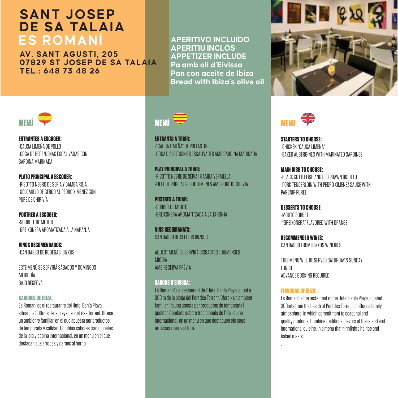### **ES ROMANÍ SANT JOSEP DE SA TALAIA**

**AV. SANT AGUSTI, 205 07829 ST JOSEP DE SA TALAIA TEL.: 648 73 48 26**

**APERITIVO INCLUÍDO APERITIU INCLÒS APPETIZER INCLUDE Pa amb oli d'Eivissa Pan con aceite de Ibiza Bread with Ibiza's olive oil** 



**ENTRANTES A ESCOGER:** -CAUSA LIMEÑA DE POLLO -COCA DE BERENJENAS ESCALIVADAS CON SARDINA MARINADA

**PLATO PRINCIPAL A ESCOGER:**  -RISOTTO NEGRO DE SEPIA Y GAMBA ROJA -SOLOMILLO DE CERDO AL PEDRO XIMENEZ CON PURÉ DE CHIRIVÍA

**POSTRES A ESCOGER:** -SORBETE DE MOJITO -GREIXONERA AROMATIZADA A LA NARANJA

**VINOS RECOMENDADOS:** -CAN BASSÓ DE BODEGAS IBIZKUS

ESTE MENÚ SE SERVIRÁ SÁBADOS Y DOMINGOS MEDIODÍA BAJO RESERVA

#### **SABORES DE IBIZA:**

Es Romaní es el restaurante del Hotel Bahía Playa, situado a 300mts de la playa de Port des Torrent. Ofrece un ambiente familiar, en el que apuesta por productos de temporada y calidad. Combina sabores tradicionales de la isla y cocina internacional, en un menú en el que destacan sus arroces y carnes al horno.



**ENTRANTS A TRIAR:** -"CAUSA LIMEÑA" DE POLLASTRE -COCA D'ALBERGÍNIES ESCALIVADES AMB SARDINA MARINADA

**PLAT PRINCIPAL A TRIAR:**  -RISOTTO NEGRE DE SÉPIA I GAMBA VERMELLA -FILET DE PORC AL PEDRO XIMENES AMB PURÉ DE XIRIVIA

**POSTRES A TRIAD-**-SORBET DE MOJITO -GREIXONERA AROMATITZADA A LA TARONJA

**VINS RECOMANATS:** CAN BASSÓ DE CELLERS IBIZKUS

AQUEST MENÚ ES SERVIRÀ DISSABTES I DIUMENGES MIGDIA AMB RESERVA PRÈVIA

#### **SABORS D'EIVISSA:**

Es Romaní és el restaurant de l'Hotel Bahía Playa, situat a 300 m de la platja del Port des Torrent. Ofereix un ambient familiar i fa una aposta per productes de temporada i qualitat. Combina sabors tradicionals de l'illa i cuina internacional, en un menú en què destaquen els seus arrossos i carns al forn.



dk **MENU**

**STARTERS TO CHOOSE:**  -CHICKEN "CAUSA LIMEÑA" -BAKED AUBERGINES WITH MARINATED SARDINES

**MAIN DISH TO CHOOSE: DLACK CUTTLEFISH AND RED ROAMIN DISOTTO** -PORK TENDERLOIN WITH PEDRO XIMENEZ SAUCE WITH PARSNIP PUREE

**DESSERTS TO CHOOSE** -MOJITO SORBET -"GREIXONERA" FLAVORED WITH ORANGE

**RECOMMENDED WINES:**  CAN BASSÓ FROM IBIZKUS WINERIES

THIS MENU WILL BE SERVED SATURDAY & SUNDAY LUNCH ADVANCE BOOKING REQUIRED

#### **FLAVOURS OF IBIZA:**

Es Romaní is the restaurant of the Hotel Bahía Playa, located 300mts from the beach of Port des Torrent. It offers a family atmosphere, in which commitment to seasonal and quality products. Combine traditional flavors of the island and international cuisine, in a menu that highlights its rice and baked meats.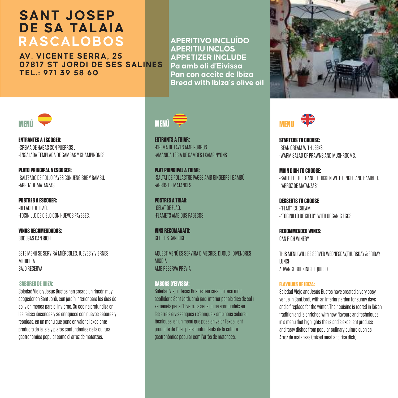# **RASCALOBOS SANT JOSEP DE SA TALAIA**

**AV. VICENTE SERRA, 25 07817 ST JORDI DE SES SALINES TEL.: 971 39 58 60**

**APERITIVO INCLUÍDO APERITIU INCLÒS APPETIZER INCLUDE Pa amb oli d'Eivissa Pan con aceite de Ibiza Bread with Ibiza's olive oil** 



**ENTRANTES A ESCOGER:** -CREMA DE HABAS CON PUERROS . -ENSALADA TEMPLADA DE GAMBAS Y CHAMPIÑONES.

**PLATO PRINCIPAL A ESCOGER:**  -SALTEADO DE POLLO PAYÉS CON JENGIBRE Y BAMBÚ. -ARROZ DE MATANZAS.

**POSTRES A ESCOGER:** -HELADO DE FLAÓ. -TOCINILLO DE CIELO CON HUEVOS PAYESES.

**VINOS RECOMENDADOS:** BODEGAS CAN BICH

ESTE MENÚ SE SERVIRÁ MIÉRCOLES, JUEVES Y VIERNES MEDIODÍA BAJO RESERVA

#### **SABORES DE IBIZA:**

Soledad Viejo y Jesús Bustos han creado un rincón muy acogedor en Sant Jordi, con jardín interior para los días de sol y chimenea para el invierno. Su cocina profundiza en las raíces ibicencas y se enriquece con nuevos sabores y técnicas, en un menú que pone en valor el excelente producto de la isla y platos contundentes de la cultura gastronómica popular como el arroz de matanzas.



**ENTRANTS A TRIAR:** -CREMA DE FAVES AMB PORROS -AMANIDA TÉBIA DE GAMBES I XAMPINYONS

**PLAT PRINCIPAL A TRIAR:**  -SALTAT DE POLLASTRE PAGÈS AMB GINGEBRE I BAMBÚ. -ARRÒS DE MATANCES.

**POSTRES A TRIAR:** -GELAT DE FLAÓ. -FLAMETS AMB OUS PAGESOS

**VINS RECOMANATS:** CELLERS CAN DICH

AQUEST MENÚ ES SERVIRÀ DIMECRES, DIJOUS I DIVENDRES MIGDIA AMB RESERVA PRÈVIA

#### **SABORS D'EIVISSA:**

Soledad Viejo i Jesús Bustos han creat un racó molt acollidor a Sant Jordi, amb jardí interior per als dies de sol i xemeneia per a l'hivern. La seua cuina aprofundeix en les arrels eivissenques i s'enriqueix amb nous sabors i tècniques, en un menú que posa en valor l'excel·lent producte de l'illa i plats contundents de la cultura gastronòmica popular com l'arròs de matances.



세 **MENU**

**STARTERS TO CHOOSE:**  -BEAN CREAM WITH LEEKS. -WARM SALAD OF PRAWNS AND MUSHROOMS.

**MAIN DISH TO CHOOSE:** -SAUTEED FREE RANGE CHICKEN WITH GINGER AND BAMBOO. -"ARROZ DE MATANZAS"

**DESSERTS TO CHOOSE** -"FLAÓ" ICE CREAM. -"TOCINILLO DE CIELO" WITH ORGANIC EGGS

**RECOMMENDED WINES:**  CAN RICH WINERY

THIS MENU WILL BE SERVED WEDNESDAYTHURSDAY & FRIDAY LUMP<sub>U</sub> ADVANCE BOOKING REQUIRED

#### **FLAVOURS OF IBIZA:**

Soledad Viejo and Jesús Bustos have created a very cosy venue in SantJordi, with an interior garden for sunny days and a fireplace for the winter. Their cuisine is rooted in Ibizan tradition and is enriched with new flavours and techniques, in a menu that highlights the island's excellent produce and tasty dishes from popular culinary culture such as Arroz de matanzas (mixed meat and rice dish).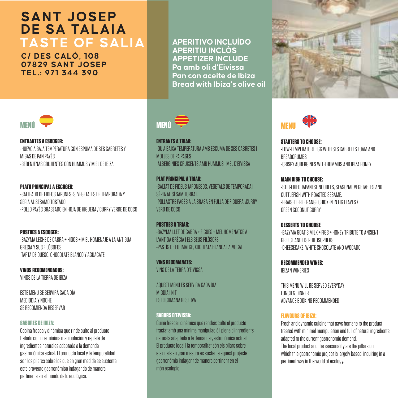### **TASTE OF SALIA SANT JOSEP DE SA TALAIA**

**C/ DES CALÓ, 108 07829 SANT JOSEP TEL.: 971 344 390**



**ENTRANTES A ESCOGER:** -HUEVO A BAJA TEMPERATURA CON ESPUMA DE SES CABRETES Y MIGAS DE PAN PAYÉS -BERENJENAS CRUJIENTES CON HUMMUS Y MIEL DE IBIZA

#### **PLATO PRINCIPAL A ESCOGER:**  -SALTEADO DE FIDEOS JAPONESES, VEGETALES DE TEMPORADA Y SEPIA AL SESAMO TOSTADO. -POLLO PAYÉS BRASEADO EN HOJA DE HIGUERA / CURRY VERDE DE COCO

**POSTRES A ESCOGER:** -BAZYMA LECHE DE CABRA + HIGOS + MIEL HOMENAJE A LA ANTIGUA GRECIA Y SUS FILÓSOFOS -TARTA DE QUESO, CHOCOLATE BLANCO Y AGUACATE

**VINOS RECOMENDADOS:** VINOS DE LA TIERRA DE IBIZA

ESTE MENU SE SERVIRÁ CADA DÍA MEDIODIA Y NOCHE SE RECOMIENDA RESERVAR

#### **SABORES DE IBIZA:**

Cocina fresca y dinámica que rinde culto al producto tratado con una mínima manipulación y repleta de ingredientes naturales adaptada a la demanda gastronómica actual. El producto local y la temporalidad son los pilares sobre los que en gran medida se sustenta este proyecto gastronómico indagando de manera pertinente en el mundo de lo ecológico.

**APERITIVO INCLUÍDO APERITIU INCLÒS APPETIZER INCLUDE Pa amb oli d'Eivissa Pan con aceite de Ibiza Bread with Ibiza's olive oil** 



**ENTRANTS A TRIAR:** -OU A BAIXA TEMPERATURA AMB ESCUMA DE SES CABRETES I MOLLES DE PA PAGÈS -ALBERGÍNIES CRUIXENTS AMB HUMMUS I MEL D'EIVISSA

**PLAT PRINCIPAL A TRIAR:**  -SALTAT DE FIDEUS JAPONESOS, VEGETALS DE TEMPORADA I SÉPIA AL SÈSAM TORRAT. -POLLASTRE PAGÈS A LA BRASA EN FULLA DE FIGUERA \CURRY VERD DE COCO

**POSTRES A TRIAR-**-BAZYMA LLET DE CABRA + FIGUES + MEL HOMENATGE A L'ANTIGA GRÈCIA I ELS SEUS FILÒSOFS -PASTÍS DE FORMATGE, XOCOLATA BLANCA I ALVOCAT

**VINS RECOMANATS:** VINS DE LA TERRA D'EIVISSA

AQUEST MENÚ ES SERVIRÁ CADA DIA MIGDIA I NIT ES RECOMANA RESERVA

#### **SABORS D'EIVISSA:**

Cuina fresca i dinàmica que rendeix culte al producte tractat amb una mínima manipulació i plena d'ingredients naturals adaptada a la demanda gastronòmica actual. El producte local i la temporalitat són els pilars sobre els quals en gran mesura es sustenta aquest projecte gastronòmic indagant de manera pertinent en el món ecològic.





**STARTERS TO CHOOSE:**  -LOW-TEMPERATURE EGG WITH SES CABRETES FOAM AND BREADCRUMBS -CRISPY AUBERGINES WITH HUMMUS AND IBIZA HONEY

**MAIN DISH TO CHOOSE:** -STIR-FRIED JAPANESE NOODLES, SEASONAL VEGETABLES AND CUTTLEFISH WITH ROASTED SESAME. -BRAISED FREE RANGE CHICKEN IN FIG LEAVES \ GREEN COCONUT CURRY

**DESSERTS TO CHOOSE** -BAZYMA GOAT'S MILK + FIGS + HONEY TRIBUTE TO ANCIENT GREECE AND ITS PHILOSOPHERS -CHEESECAKE, WHITE CHOCOLATE AND AVOCADO

**RECOMMENDED WINES:**  IBIZAN WINERIES

THIS MENU WILL BE SERVED EVERYDAY LUNCH & DINNER ADVANCE BOOKING RECOMMENDED

#### **FLAVOURS OF IBIZA:**

Fresh and dynamic cuisine that pays homage to the product treated with minimal manipulation and full of natural ingredients adapted to the current gastronomic demand. The local product and the seasonality are the pillars on which this gastronomic project is largely based, inquiring in a pertinent way in the world of ecology.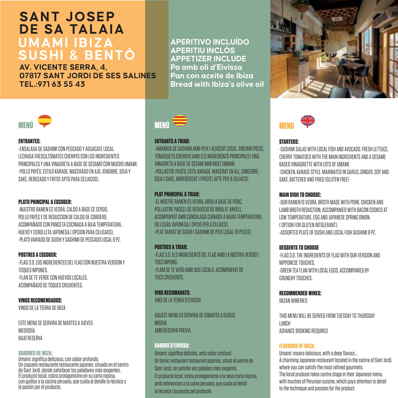### **UMAMI IBIZA SUSHI & BENTŌ SANT JOSEP DE SA TALAIA**

**AV. VICENTE SERRA, 4, 07817 SANT JORDI DE SES SALINES TEL.:971 63 55 43**



#### **ENTRANTES:**

-ENSALADA DE SASHIMI CON PESCADO Y AGUACATE LOCAL. LECHUGA FRESCA,TOMATES CHERRYS CON LOS INGREDIENTES PRINCIPALES Y UNA VINAGRETA A BASE DE SÉSAMO CON MUCHO UMAMI. -POLLO PAYÉS, ESTILO KARAGE. MACERADO EN AJO, JENGIBRE, SOJA Y SAKE, REBOZADO Y FRITO( ARTO PARA CELIACOS).

#### **PLATO PRINCIPAL A ESCOGER:**

-NUESTRO RAMEN ES VEDRÀ, CALDO A BASE CE CERDO, POLLO PAYÉS Y DE REDUCCION DE CALDO DE CORDERO, ACOMPAÑADO CON PANCETA COCINADA A BAJA TEMPERATURA, HUEVO Y CEBOLLETA JAPONESA.( OPCION PARA CELICAOS). -PLATO VARIADO DE SUSHI Y SASHIMI DE PESCADO LOCAL 8 PZ.

#### **POSTRES A ESCOGER:**

-FLAO 3.0. LOS INGREDIENTES DEL FLAO CON NUESTRA VERSION Y TOQUES NIPONES. -FLAN DE TE VERDE CON HUEVOS LOCALES, ACOMPAÑADO DE TOQUES CRUJIENTES.

#### **VINOS RECOMENDADOS:**

VINOS DE LA TIERRA DE IBIZA

ESTE MENÚ SE SERVIRÁ DE MARTES A JUEVES MEDIODÍA BAJO RESERVA

#### **SABORES DE IBIZA:**

Umami: significa delicioso, con sabor profundo. Un coqueto restaurante restaurante japonés, situado en el centro de Sant Jordi ,donde satisfacer los paladares más exigentes. El producto local, cobra protagonismo en su carta nipona, con guiños a la cocina peruana, que cuida al detalle la técnica y la pasión por el producto.

**APERITIVO INCLUÍDO APERITIU INCLÒS APPETIZER INCLUDE Pa amb oli d'Eivissa Pan con aceite de Ibiza Bread with Ibiza's olive oil** 



#### **ENTRANTS A TRIAR:**

-AMANIDA DE SASHIMI AMB PEIX I ALVOCAT LOCAL. ENCIAM FRESC, TOMÀQUETS CHERRYS AMB ELS INGREDIENTS PRINCIPALS I UNA VINAGRETA A BASE DE SÈSAM AMB MOLT UMAMI. -POLLASTRE PAGÉS, ESTIL KARAGE. MACERAT EN ALL, GINGEBRE, SOJA I SAKE, ARREBOSSAT I FREGIT( APTE PER A CELIACS)

#### **PLAT PRINCIPAL A TRIAR-**

-EL NOSTRE RAMEN ÉS VEDRÀ, BROU A BASE DE PORC, POLLASTRE PAGÈS I DE REDUCCIÓ DE BROU D' ANYELL, ACOMPANYAT AMB CANSALADA CUINADA A BAIXA TEMPERATURA, OU I CEBA JAPONESA.( OPCIÓ PER A CELÍACS). -PLAT VARIAT DE SUSHI I SASHIMI DE PEIX LOCAL (8 PEÇES).

**POSTRES A TRIAR:** -FLAO 3.0. ELS INGREDIENTS DEL FLAÓ AMB LA NOSTRA VERSIÓ I TOCS NIPONS. -FLAM DE TE VERD AMB OUS LOCALS, ACOMPANYAT DE TOCS CRUIXENTS.

**VINS RECOMANATS:** VINS DE LA TERRA D'EIVISSA

AQUEST MENÚ ES SERVIRÀ DE DIMARTS A DIJOUS **MIGDIA** AMB RESERVA PRÈVIA

#### **SABORS D'EIVISSA:**

Umami: significa deliciós, amb sabor profund. Un bonic restaurant restaurant japonès, situat al centre de Sant Jordi, on satisfer els paladars més exigents. El producte local, cobra protagonisme a la seva carta nipona, amb referències a la cuina peruana, que cuida al detall la tècnica i la passió pel producte.





#### **STARTERS:**

-SASHIMI SALAD WITH LOCAL FISH AND AVOCADO. FRESH LETTUCE, CHERRY TOMATOES WITH THE MAIN INGREDIENTS AND A SESAME BASED VINAIGRETTE WITH LOTS OF UMAMI. -CHICKEN, KARAGE STYLE. MARINATED IN GARLIC, GINGER, SOY AND SAKE, BATTERED AND FRIED (GLUTEN FREE)

#### **MAIN DISH TO CHOOSE:**

-OUR RAMEN IS VEDRÀ, BROTH MADE WITH PORK, CHICKEN AND LAMB BROTH REDUCTION, ACCOMPANIED WITH BACON COOKED AT LOW TEMPERATURE, EGG AND JAPANESE SPRING ONION. ( OPTION FOR GLUTEN INTOLERANT). -ASSORTED PLATE OF SUSHI AND LOCAL FISH SASHIMI 8 PZ.

#### **DESSERTS TO PUBBER**

-FLAO 3.0. THE INGREDIENTS OF FLAO WITH OUR VERSION AND NIPPONESE TOUCHES. -GREEN TEA FLAN WITH LOCAL EGGS, ACCOMPANIED BY CRUNCHY TOUCHES.

**RECOMMENDED WINES:** 

IBIZAN WINERIES

THIS MENU WILL BE SERVED FROM TUESDAY TO THURSDAY LUNCH ADVANCE BOOKING REQUIRED

#### **FLAVOURS OF IBIZA:**

Umami: means delicious, with a deep flavour... A charming Japanese restaurant located in the centre of Sant Jordi, where you can satisfy the most refined gourmets. The local produce takes centre stage in their Japanese menu, with touches of Peruvian cuisine, which pays attention to detail to the technique and passion for the product.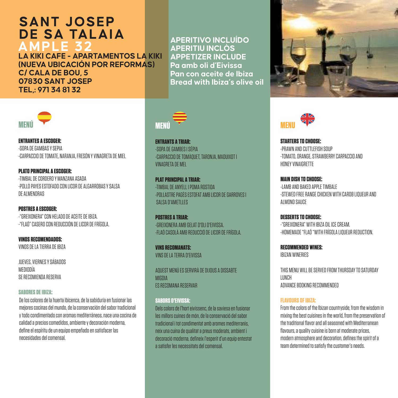# **AMPLE 32 LA KIKI CAFE - APARTAMENTOS LA KIKI SANT JOSEP DE SA TALAIA**

**(NUEVA UBICACIÓN POR REFORMAS) C/ CALA DE BOU, 5 07830 SANT JOSEP TEL,: 971 34 81 32**



**ENTRANTES A ESCOGER:** -SOPA DE GAMBAS Y SEPIA -CARPACCIO DE TOMATE, NARANJA, FRESÓN Y VINAGRETA DE MIEL

**PLATO PRINCIPAL A ESCOGER:**  -TIMBAL DE CORDERO Y MANZANA ASADA -POLLO PAYES ESTOFADO CON LICOR DE ALGARROBAS Y SALSA DE ALMENDRAS

**POSTRES A ESCOGER:** -"GREIXONERA" CON HELADO DE ACEITE DE IBIZA. -"FLAÓ" CASERO CON REDUCCIÓN DE LICOR DE FRÍGOLA.

**VINOS RECOMENDADOS:** VINOS DE LA TIERRA DE IBIZA

JUEVES, VIERNES Y SÁBADOS MEDIODÍA **SE RECOMIENDA RESERVA** 

#### **SABORES DE IBIZA:**

De los colores de la huerta ibicenca, de la sabiduría en fusionar las mejores cocinas del mundo, de la conservación del sabor tradicional y todo condimentado con aromas mediterráneos, nace una cocina de calidad a precios comedidos, ambiente y decoración moderna, define el espíritu de un equipo empeñado en satisfacer las necesidades del comensal.

**APERITIVO INCLUÍDO APERITIU INCLÒS APPETIZER INCLUDE Pa amb oli d'Eivissa Pan con aceite de Ibiza Bread with Ibiza's olive oil** 



**ENTRANTS A TRIAR:** -SOPA DE GAMBES I SÉPIA -CARPACCIO DE TOMÀQUET, TARONJA, MADUIXOT I VINAGRETA DE MEL

**PLAT PRINCIPAL A TRIAR:**  -TIMBAL DE ANYELL I POMA ROSTIDA -POLLASTRE PAGÈS ESTOFAT AMB LICOR DE GARROVES I SALISA D'AMETLLES

**POSTRES A TRIAR:** -GREIXONERA AMB GELAT D'OLI D'EIVISSA. -FLAÓ CASOLÀ AMB REDUCCIÓ DE LICOR DE FRÍGOLA.

**VINS RECOMANATS:** VINS DE LA TERRA D'EIVISSA

AQUEST MENÚ ES SERVIRÀ DE DIJOUS A DISSABTE **MIGDIA** ES RECOMANA RESERVAR

#### **SABORS D'EIVISSA:**

Dels colors de l'hort eivissenc, de la saviesa en fusionar les millors cuines de món, de la conservació del sabor tradicional i tot condimentat amb aromes mediterranis, neix una cuina de qualitat a preus moderats, ambient i decoració moderna, defineix l'esperit d'un equip entestat a satisfer les necessitats del comensal.





**STARTERS TO CHOOSE:**  -PRAWN AND CUTTLEFISH SOUP -TOMATO, ORANGE, STRAWBERRY CARPACCIO AND HONEY VINAIGRETTE

**MAIN DISH TO CHOOSE:** -LAMB AND BAKED APPLE TIMBALE -STEWED FREE RANGE CHICKEN WITH CAROB LIQUEUR AND ALMOND SAUCE

**DESSERTS TO CHOOSE:** -"GREIXONERA" WITH IBIZA OIL ICE CREAM. -HOMEMADE "FLAÓ "WITH FRÍGOLA LIQUEUR REDUCTION.

**RECOMMENDED WINES:**  IBIZAN WINERIES

THIS MENU WILL BE SERVED FROM THURSDAY TO SATURDAY LUNCH ADVANCE BOOKING RECOMMENDED

#### **FLAVOURS OF IBIZA:**

From the colors of the Ibizan countryside, from the wisdom in mixing the best cuisines in the world, from the preservation of the traditional flavor and all seasoned with Mediterranean flavours, a quality cuisine is born at moderate prices, modern atmosphere and decoration, defines the spirit of a team determined to satisfy the customer's needs.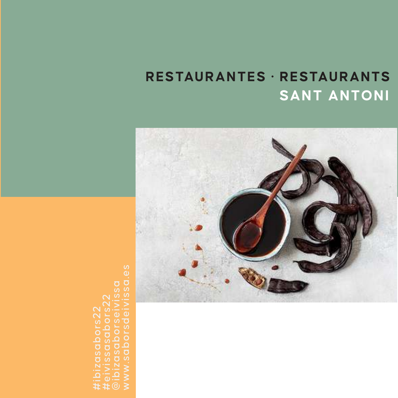# **RESTAURANTES · RESTAURANTS SANT ANTONI**

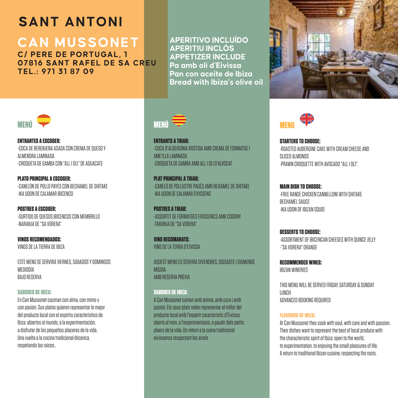# **SANT ANTONI**

#### **CAN MUSSONET C/ PERE DE PORTUGAL, 1**

**07816 SANT RAFEL DE SA CREU TEL.: 971 31 87 09**

**APERITIVO INCLUÍDO APERITIU INCLÒS APPETIZER INCLUDE Pa amb oli d'Eivissa Pan con aceite de Ibiza Bread with Ibiza's olive oil** 



**ENTRANTES A ESCOGER:** -COCA DE BERENJENA ASADA CON CREMA DE QUESO Y ALMENDRA LAMINADA -CROQUETA DE GAMBA CON "ALL I OLI" DE AGUACATE

**PLATO PRINCIPAL A ESCOGER:**  -CANELÓN DE POLLO PAYÉS CON BECHAMEL DE SHITAKE -IKA UDON DE CALAMAR IBICENCO

**POSTRES A ESCOGER:** -SURTIDO DE QUESOS IBICENCOS CON MEMBRILLO -NARANJA DE "SA VORERA"

**VINOS RECOMENDADOS:** VINOS DE LA TIERRA DE IBIZA

ESTE MENÚ SE SERVIRÁ VIERNES, SÁBADOS Y DOMINGOS MEDIODÍA DA IN DECEDIA

#### **SABORES DE IBIZA:**

En Can Mussonet cocinan con alma, con mimo y con pasión. Sus platos quieren representar lo mejor del producto local con el espíritu característico de Ibiza: abiertos al mundo, a la experimentación, a disfrutar de los pequeños placeres de la vida. Una vuelta a la cocina tradicional ibicenca, respetando las raíces..



**ENTRANTS A TRIAR:** -COCA D'ALBERGÍNIA ROSTIDA AMB CREMA DE FORMATGE I AMETLLA LAMINADA -CROQUETA DE GAMBA AMB ALL I OLI D'ALVOCAT

**PLAT PRINCIPAL A TRIAR:**  -CANELÓ DE POLLASTRE PAGÈS AMB BEIXAMEL DE SHITAKE -IKA UDON DE CALAMAR EIVISSENC

**POSTRES A TRIAR:** -ASSORTIT DE FORMATGES EIVISSENCS AMB CODONY -TARONJA DE "SA VORERA"

**VINS RECOMANATS:** VINS DE LA TERRA D'EIVISSA

AQUEST MENÚ ES SERVIRÀ DIVENDRES, DISSABTE I DIUMENGE MIGDIA AMB RESERVA PRÈVIA

#### **SABORES DE IBIZA:**

A Can Mussonet cuinen amb ànima, amb cura i amb passió. Els seus plats volen representar el millor del producte local amb l'esperit característic d'Eivissa: oberta al món, a l'experimentació, a gaudir dels petits plaers de la vida. Un retorn a la cuina tradicional eivissenca respectant les arrels





**STARTERS TO CHOOSE:**  -ROASTED AUBERGINE CAKE WITH CREAM CHEESE AND SLICED ALMONDS -PRAWN CROQUETTE WITH AVOCADO "ALL I OLI".

**MAIN DISH TO CHOOSE:** -FREE RANGE CHICKEN CANNELLONI WITH SHITAKE BECHAMEL SAUCE -IKA UDON OF IBIZAN SQUID

**DESSERTS TO CHOOSE:** -ASSORTMENT OF IBICENCAN CHEESES WITH QUINCE JELLY -"SA VORERA" ORANGE

**RECOMMENDED WINES:**  IBIZAN WINERIES

THIS MENU WILL BE SERVED FRIDAY, SATURDAY & SUNDAY LUNCH ADVANCED BOOKING REQUIRED

#### **FLAVOURS OF IBIZA:**

At Can Mussonet they cook with soul, with care and with passion. Their dishes want to represent the best of local produce with the characteristic spirit of Ibiza: open to the world, to experimentation, to enjoying the small pleasures of life. A return to traditional Ibizan cuisine, respecting the roots.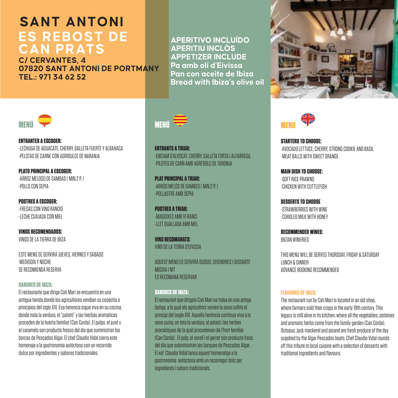### **SANT ANTONI ES REBOST DE CAN PRATS**

**C/ CERVANTES, 4 07820 SANT ANTONI DE PORTMANY TEL.: 971 34 62 52**

**APERITIVO INCLUÍDO APERITIU INCLÒS APPETIZER INCLUDE Pa amb oli d'Eivissa Pan con aceite de Ibiza Bread with Ibiza's olive oil** 



**ENTRANTES A ESCOGER:** -LECHUGA DE AGUACATE, CHERRY, GALLETA FUERTE Y ALBAHACA -PELOTAS DE CARNE CON AGRIDULCE DE NARANJA

**PLATO PRINCIPAL A ESCOGER:**  -ARROZ MELOSO DE GAMBAS ( MIN.2 P. ) -POLLO CON SEPIA

**POSTRES A ESCOGER:** -FRESAS CON VINO RANCIO -LECHE CUAJADA CON MIEL

**VINOS RECOMENDADOS:** VINOS DE LA TIERRA DE IBIZA

ESTE MENÚ SE SERVIRÁ JUEVES, VIERNES Y SÁBADO MEDIODÍA Y NOCHE SE RECOMIENDA RESERVA

#### **SABORES DE IBIZA:**

El restaurante que dirige Cati Marí se encuentra en una antigua tienda,donde los agricultores vendían su cosecha a principios del siglo XIX. Esa herencia sigue viva en su cocina, donde toda la verdura, el "patató" y las hierbas aromáticas proceden de la huerta familiar (Can Corda). El pulpo, el jurel y el caramelo son producto fresco del día que suministran las barcas de Pescados Algar. El chef Claudio Vidal cierra este homenaje a la gastronomía autóctona con un recorrido dulce por ingredientes y sabores tradicionales.



**ENTRANTS A TRIAR:** -ENCIAM D'ALVOCAT, CHERRY, GALLETA FORTA I ALFÀBREGA. -PILOTES DE CARN AMB AGREDOLÇ DE TARONJA

**PLAT PRINCIPAL A TRIAR:**  -ARRÒS MELÓS DE GAMBES ( MIN.2 P. ) -POLLASTRE AMB SÉPIA

**POSTRES A TRIAR:** -MADUIXES AMB VI RANCI -LLET QUALLADA AMB MEL

**VINS RECOMANATS:** VINS DE LA TERRA D'EIVISSA

AQUEST MENÚ ES SERVIRÀ DIJOUS, DIVENDRES I DISSABTE MIGDIA I NIT ES RECOMANA RESERVAR

#### **SABORES DE IBIZA:**

El restaurant que dirigeix Cati Marí es troba en una antiga botiga, a la qual els agricultors venien la seua collita al principi del segle XIX. Aquella herència continua viva a la seva cuina, on tota la verdura, el patató i les herbes aromàtiques de la qual procedeixen de l'hort familiar (Can Corda). El polp, el sorell i el gerret són producte fresc del dia que subministren les barques de Pescados Algar. El xef Claudio Vidal tanca aquest homenatge a la gastronomia autòctona amb un recorregut dolç per ingredients i sabors tradicionals.





**STARTERS TO CHOOSE:**  -AVOCADO LETTUCE, CHERRY, STRONG COOKIE AND BASIL -MEAT BALLS WITH SWEET ORANGE

**MAIN DISH TO CHOOSE:** -SOFT RICE PRAWNS -CHICKEN WITH CUTTLEFIELD

**DESSERTS TO CHOOSE** -STRAWBERRIES WITH WINE -CURDLED MILK WITH HONEY

**RECOMMENDED WINES:**  IBIZAN WINERIES

THIS MENU WILL BE SERVED THURSDAY, FRIDAY & SATURDAY LUNCH & DINNER ADVANCE BOOKING RECOMMENDED

#### **FLAVOURS OF IBIZA:**

The restaurant run by Cati Marí is located in an old shop, where farmers sold their crops in the early 19th century. This legacy is still alive in its kitchen, where all the vegetables, potatoes and aromatic herbs come from the family garden (Can Corda). Octopus, jack mackerel and picarel are fresh produce of the day supplied by the Algar Pescados boats. Chef Claudio Vidal rounds off this tribute to local cuisine with a selection of desserts with traditional ingredients and flavours.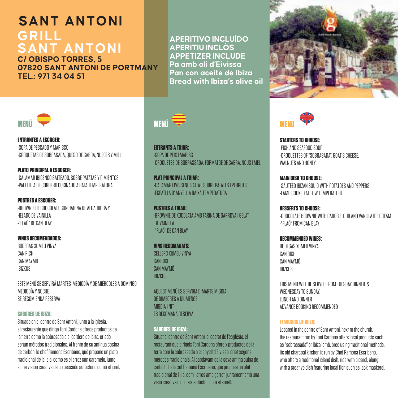### **SANT ANTONI GRILL SANT ANTONI**

**C/ OBISPO TORRES, 5 07820 SANT ANTONI DE PORTMANY TEL.: 971 34 04 51**

**APERITIVO INCLUÍDO APERITIU INCLÒS APPETIZER INCLUDE Pa amb oli d'Eivissa Pan con aceite de Ibiza Bread with Ibiza's olive oil** 



**ENTRANTES A ESCOGER:** -SOPA DE PESCADO Y MARISCO -CROQUETAS DE SOBRASADA, QUESO DE CABRA, NUECES Y MIEL

**PLATO PRINCIPAL A ESCOGER:**  -CALAMAR IBICENCO SALTEADO, SOBRE PATATAS Y PIMIENTOS -PALETILLA DE CORDERO COCINADO A BAJA TEMPERATURA

**POSTRES A ESCOGER:** -BROWNIE DE CHOCOLATE CON HARINA DE ALGARROBA Y HELADO DE VAINILLA -"FLAÓ" DE CAN BLAY

**VINOS RECOMENDADOS:** BODEGAS XUMEU VINYA CAN RICH CAN MAYMÓ IBIZKUS

ESTE MENÚ SE SERVIRÁ MARTES MEDIODÍA Y DE MIÉRCOLES A DOMINGO MEDIODÍA Y NOCHE SE RECOMIENDA RESERVA

#### **SABORES DE IBIZA:**

Situado en el centro de Sant Antoni, junto a la iglesia, el restaurante que dirige Toni Cardona ofrece productos de la tierra como la sobrasada o el cordero de Ibiza, criado según métodos tradicionales. Al frente de su antigua cocina de carbón, la chef Ramona Escribano, qué propone un plato tradicional de la isla, como es el arroz con caramelo, junto a una visión creativa de un pescado autóctono como el jurel.



**ENTRANTS A TRIAR:** -SOPA DE PEIX I MARISC -CROQUETES DE SOBRASSADA, FORMATGE DE CABRA, NOUS I MEL

**PLAT PRINCIPAL A TRIAR:**  -CALAMAR EIVISSENC SALTAT, SOBRE PATATES I PEBROTS -ESPATLLA D' ANYELL A BAIXA TEMPERATURA

**POSTRES A TRIAR:** -BROWNIE DE XOCOLATA AMB FARINA DE GARROVA I GELAT DE VAINILLA -"FLAÓ" DE CAN BLAY

**VINS RECOMANATS:** CELLERS XUMEU VINYA CAN RICH CAN MAYMÓ IBIZKUS

AQUEST MENÚ ES SERVIRÀ DIMARTS MIGDIA I DE DIMECRES A DIUMENGE MIGDIA I NIT ES RECOMANA RESERVA

#### **SABORES DE IBIZA:**

Situat al centre de Sant Antoni, al costat de l'església, el restaurant que dirigeix Toni Cardona ofereix productes de la terra com la sobrassada o el anyell d'Eivissa, criat segons mètodes tradicionals. Al capdavant de la seva antiga cuina de carbó hi ha la xef Ramona Escribano, que proposa un plat tradicional de l'illa, com l'arròs amb gerret, juntament amb una visió creativa d'un peix autòcton com el sorell.





**STARTERS TO CHOOSE:**  -FISH AND SEAFOOD SOUP -CROQUETTES OF "SOBRASADA", GOAT'S CHEESE, WALNUTS AND HONEY

**MAIN DISH TO CHOOSE:** -SAUTEED IBIZAN SQUID WITH POTATOES AND PEPPERS -LAMB COOKED AT LOW TEMPERATURE

**DESSERTS TO CHOOSE:** -CHOCOLATE BROWNIE WITH CAROB FLOUR AND VANILLA ICE CREAM -"FLAÓ" FROM CAN BLAY

**RECOMMENDED WINES:**  BODEGAS XUMEU VINYA CAN RICH CAN MAYMÓ IBIZKUS

THIS MENU WILL BE SERVED FROM TUESDAY DINNER & WEDNESDAY TO SUNDAY LUNCH AND DINNER ADVANCE BOOKING RECOMMENDED

#### **FLAVOURS OF IBIZA:**

Located in the centre of Sant Antoni, next to the church, the restaurant run by Toni Cardona offers local products such as "sobrassada" or Ibiza lamb, bred using traditional methods. Its old charcoal kitchen is run by Chef Ramona Escribano, who offers a traditional island dish, rice with picarel, along with a creative dish featuring local fish such as jack mackerel.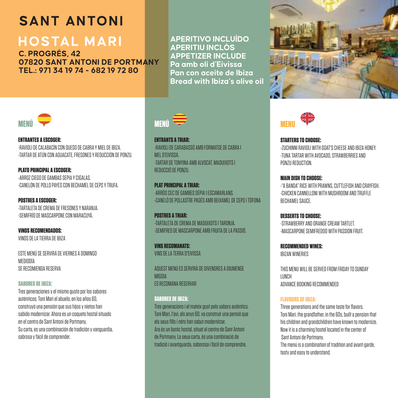# **SANT ANTONI**

# **HOSTAL MARI**

**C. PROGRÉS, 42 07820 SANT ANTONI DE PORTMANY TEL.: 971 34 19 74 - 682 19 72 80**

**APERITIVO INCLUÍDO APERITIU INCLÒS APPETIZER INCLUDE Pa amb oli d'Eivissa Pan con aceite de Ibiza Bread with Ibiza's olive oil** 



**ENTRANTES A ESCOGER:** -RAVIOLI DE CALABACÍN CON QUESO DE CABRA Y MIEL DE IBIZA. -TARTAR DE ATÚN CON AGUACATE, FRESONES Y REDUCCIÓN DE PONZU.

**PLATO PRINCIPAL A ESCOGER:**  -ARROZ CIEGO DE GAMBAS SEPIA Y CIGALAS. -CANELÓN DE POLLO PAYÉS CON BECHAMEL DE CEPS Y TRUFA.

**POSTRES A ESCOGER:** -TARTALETA DE CREMA DE FRESONES Y NARANJA. -SEMIFRÍO DE MASCARPONE CON MARACUYÁ.

**VINOS RECOMENDADOS:** VINOS DE LA TIERRA DE IBIZA

ESTE MENÚ SE SERVIRÁ DE VIERNES A DOMINGO MEDIODÍA SE RECOMIENDA RESERVA

#### **SABORES DE IBIZA:**

Tres generaciones y el mismo gusto por los sabores auténticos. Toni Mari el abuelo, en los años 60, construyó una pensión que sus hijos y nietos han sabido modernizar. Ahora es un coqueto hostal situado en el centro de Sant Antoni de Portmany. Su carta, es una combinación de tradición y vanguardia, sabrosa y fácil de comprender.



**ENTRANTS A TRIAR:** -RAVIOLI DE CARABASSÓ AMB FORMATGE DE CABRA I MEL D'EIVISSA. -TARTAR DE TONYINA AMB ALVOCAT, MADUIXOTS I REDUCCIÓ DE PONZU.

**PLAT PRINCIPAL A TRIAR:**  -ARRÒS CEC DE GAMBES SÉPIA I ESCAMARLANS. -CANELÓ DE POLLASTRE PAGÉS AMB BEIXAMEL DE CEPS I TÒFONA

**POSTRES A TRIAR-**-TARTALETA DE CREMA DE MADUIXOTS I TARONJA. -SEMIFRED DE MASCARPONE AMB FRUITA DE LA PASSIÓ.

**VINS RECOMANATS:** VINS DE LA TERRA D'EIVISSA

AQUEST MENÚ ES SERVIRÀ DE DIVENDRES A DIUMENGE MIGDIA ES RECOMANA RESERVAR

#### **SABORES DE IBIZA:**

Tres generacions i el mateix gust pels sabors autèntics. Toni Mari, l'avi, als anys 60, va construir una pensió que els seus fills i néts han sabut modernitzar. Ara és un bonic hostal, situat al centre de Sant Antoni de Portmany. La seua carta, és una combinació de tradició i avantguarda, saborosa i fàcil de comprendre.





**STARTERS TO CHOOSE:**  -ZUCHINNI RAVIOLI WITH GOAT'S CHEESE AND IBIZA HONEY. -TUNA TARTAR WITH AVOCADO, STRAWBERRIES AND PONZU REDUCTION.

**MAIN DISH TO CHOOSE:** -"A BANDA" RICE WITH PRAWNS, CUTTLEFISH AND CRAYFISH. -CHICKEN CANNELLONI WITH MUSHROOM AND TRUFFLE BECHAMEL SAUCE.

**DESSERTS TO CHOOSE:** -STRAWBERRY AND ORANGE CREAM TARTLET. -MASCARPONE SEMIFREDDO WITH PASSION FRUIT.

**RECOMMENDED WINES:**  IBIZAN WINERIES

THIS MENU WILL BE SERVED FROM FRIDAY TO SUNDAY LUNCH ADVANCE BOOKING RECOMMENDED

#### **FLAVOURS OF IBIZA:**

Three generations and the same taste for flavors. Toni Mari, the grandfather, in the 60s, built a pension that his children and grandchildren have known to modernize. Now it is a charming hostel located in the center of Sant Antoni de Portmany. The menú is a combination of tradition and avant-garde, tasty and easy to understand.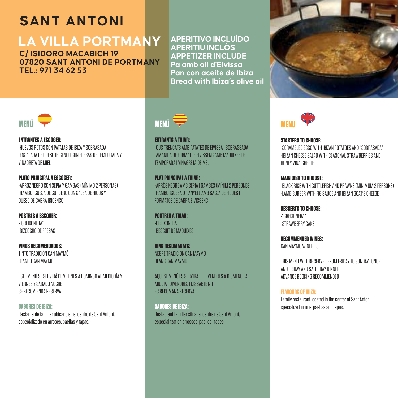# **SANT ANTONI**

# **LA VILLA PORTMANY**

**C/ ISIDORO MACABICH 19 07820 SANT ANTONI DE PORTMANY TEL.: 971 34 62 53**

**APERITIVO INCLUÍDO APERITIU INCLÒS APPETIZER INCLUDE Pa amb oli d'Eivissa Pan con aceite de Ibiza Bread with Ibiza's olive oil** 





**ENTRANTES A ESCOGER:** -HUEVOS ROTOS CON PATATAS DE IBIZA Y SOBRASADA -ENSALADA DE QUESO IBICENCO CON FRESAS DE TEMPORADA Y VINAGRETA DE MIEL

**PLATO PRINCIPAL A ESCOGER:**  -ARROZ NEGRO CON SEPIA Y GAMBAS (MÍNIMO 2 PERSONAS) HAMBURGUESA DE CORDERO CON SALSA DE HIGOS Y QUESO DE CABRA IBICENCO

**POSTRES A ESCOGER:** -"GREIXONERA" -BIZCOCHO DE FRESAS

**VINOS RECOMENDADOS:** TINTO TRADICIÓN CAN MAYMÓ BLANCO CAN MAYMÓ

ESTE MENÚ SE SERVIRÁ DE VIERNES A DOMINGO AL MEDIODÍA Y VIERNES Y SÁBADO NOCHE SE RECOMIENDA RESERVA

**SABORES DE IBIZA:**  Restaurante familiar ubicado en el centro de Sant Antoni, especializado en arroces, paellas y tapas.



**ENTRANTS A TRIAR:** -OUS TRENCATS AMB PATATES DE EIVISSA I SOBRASSADA -AMANIDA DE FORMATGE EIVISSENC AMB MADUIXES DE TEMPORADA I VINAGRETA DE MEL

**PLAT PRINCIPAL A TRIAR:**  -ARRÒS NEGRE AMB SÉPIA I GAMBES (MÍNIM 2 PERSONES) -HAMBURGUESA D´ANYELL AMB SALSA DE FIGUES I FORMATGE DE CABRA EIVISSENC

**POSTRES A TRIAR-**-GREIXONERA -BESCUIT DE MADUIXES

**VINS RECOMANATS:** NEGRE TRADICIÓN CAN MAYMÓ BLANC CAN MAYMÓ

AQUEST MENÚ ES SERVIRÀ DE DIVENDRES A DIUMENGE AL MIGDIA I DIVENDRES I DISSABTE NIT ES RECOMANA RESERVA

**SABORES DE IBIZA:**  Restaurant familiar situat al centre de Sant Antoni, especialitzat en arrossos, paelles i tapes.



**STARTERS TO CHOOSE:**  -SCRAMBLED EGGS WITH IBIZAN POTATOES AND "SOBRASADA" -IBIZAN CHEESE SALAD WITH SEASONAL STRAWBERRIES AND HONEY VINAIGRETTE

**MAIN DISH TO CHOOSE:** -BLACK RICE WITH CUTTLEFISH AND PRAWNS (MINIMUM 2 PERSONS) -LAMB BURGER WITH FIG SAUCE AND IBIZAN GOAT'S CHEESE

**DESSERTS TO CHOOSE:** -"GREIXONERA" -STRAWBERRY CAKE

**RECOMMENDED WINES:**  CAN MAYMO WINERIES

THIS MENU WILL BE SERVED FROM FRIDAY TO SUNDAY LUNCH. AND FRIDAY AND SATURDAY DINNER ADVANCE BOOKING RECOMMENDED

**FLAVOURS OF IBIZA:** Family restaurant located in the center of Sant Antoni, specialized in rice, paellas and tapas.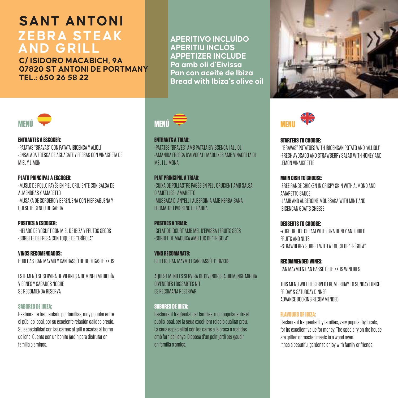### **SANT ANTONI ZEBRA STEAK AND GRILL**

**C/ ISIDORO MACABICH, 9A 07820 ST ANTONI DE PORTMANY TEL.: 650 26 58 22**

**APERITIVO INCLUÍDO APERITIU INCLÒS APPETIZER INCLUDE Pa amb oli d'Eivissa Pan con aceite de Ibiza Bread with Ibiza's olive oil** 



**ENTRANTES A ESCOGER:** -PATATAS "BRAVAS" CON PATATA IBICENCA Y ALIOLI -ENSALADA FRESCA DE AGUACATE Y FRESAS CON VINAGRETA DE MIEL Y LIMÓN

**PLATO PRINCIPAL A ESCOGER:**  -MUSLO DE POLLO PAYÉS EN PIEL CRUJIENTE CON SALSA DE ALMENDRAS Y AMARETTO -MUSAKA DE CORDERO Y BERENJENA CON HIERBABUENA Y QUESO IBICENCO DE CABRA

**POSTRES A ESCOGER:** -HELADO DE YOGURT CON MIEL DE IBIZA Y FRUTOS SECOS -SORBETE DE FRESA CON TOQUE DE "FRÍGOLA"

**VINOS RECOMENDADOS:** BODEGAS CAN MAYMÓ Y CAN BASSÓ DE BODEGAS IBIZKUS

ESTE MENÚ SE SERVIRÁ DE VIERNES A DOMINGO MEDIODÍA VIERNES Y SÁBADOS NOCHE SE RECOMIENDA RESERVA

#### **SABORES DE IBIZA:**

Restaurante frecuentado por familias, muy popular entre el público local, por su excelente relación calidad precio. Su especialidad son las carnes al grill o asadas al horno de leña. Cuenta con un bonito jardín para disfrutar en familia o amigos.



**ENTRANTS A TRIAR:** -PATATES "BRAVES" AMB PATATA EIVISSENCA I ALLIOLI -AMANIDA FRESCA D'ALVOCAT I MADUIXES AMB VINAGRETA DE MEL LLIMONA

**PLAT PRINCIPAL A TRIAR:**  -CUIXA DE POLLASTRE PAGÉS EN PELL CRUIXENT AMB SALSA D'AMETLLES I AMARETTO -MUSSACA D' ANYELL I ALBERGÍNIA AMB HERBA-SANA I FORMATGE EIVISSENC DE CABRA

**POSTRES A TRIAR:** -GELAT DE IOGURT AMB MEL D'EIVISSA I FRUITS SECS -SORBET DE MADUIXA AMB TOC DE "FRÍGOLA"

**VINS RECOMANATS:** CELLERS CAN MAYMÓ I CAN BASSÓ D' IBIZKUS

AQUEST MENÚ ES SERVIRÀ DE DIVENDRES A DIUMENGE MIGDIA DIVENDRES I DISSABTES NIT ES RECOMANA RESERVAR

#### **SABORES DE IBIZA:**

Restaurant freqüentat per famílies, molt popular entre el públic local, per la seua excel•lent relació qualitat preu. La seua especialitat són les carns a la brasa o rostides amb forn de llenya. Disposa d'un polit jardí per gaudir en família o amics.





#### **STARTERS TO CHOOSE:**

-"BRAVAS" POTATOES WITH IBICENCAN POTATO AND "ALLIOLI" -FRESH AVOCADO AND STRAWBERRY SALAD WITH HONEY AND LEMON VINAIGRETTE

#### **MAIN DISH TO CHOOSE:**

-FREE RANGE CHICKEN IN CRISPY SKIN WITH ALMOND AND AMARETTO SAUCE -LAMB AND AUBERGINE MOUSSAKA WITH MINT AND IBICENCAN GOAT'S CHEESE

**DESSERTS TO CHOOSE:** -YOGHURT ICE CREAM WITH IBIZA HONEY AND DRIED FRUITS AND NUTS -STRAWBERRY SORBET WITH A TOUCH OF "FRÍGOLA".

**RECOMMENDED WINES:**  CAN MAYMÓ & CAN BASSÓ DE IBIZKUS WINERIES

THIS MENU WILL BE SERVED FROM FRIDAY TO SUNDAY LUNCH FRIDAY & SATURDAY DINNER ADVANCE BOOKING RECOMMENDED

#### **FLAVOURS OF IBIZA:**

Restaurant frequented by families, very popular by locals, for its excellent value for money. The specialty on the house are grilled or roasted meats in a wood oven. It has a beautiful garden to enjoy with family or friends.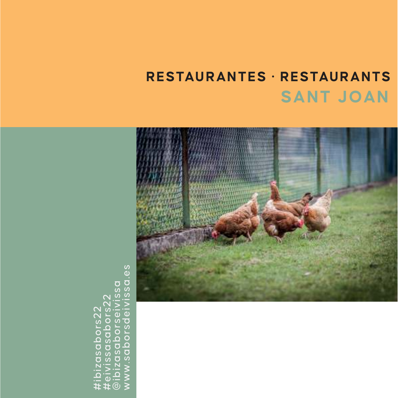# **SANT JOAN RESTAURANTES · RESTAURANTS**



#ibizasabors22 #eivissasabors22 @ibizasaborseivissa www.saborsdeivissa.es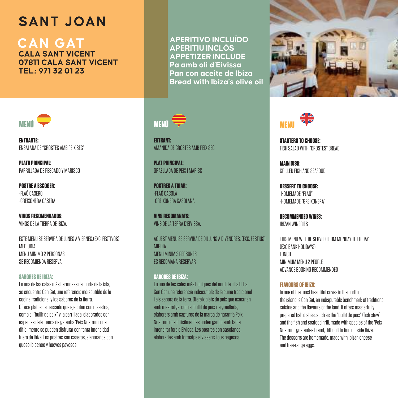# **SANT JOAN**

**CAN GAT CALA SANT VICENT 07811 CALA SANT VICENT TEL.: 971 32 01 23**



**ENTRANTE:**  ENSALADA DE "CROSTES AMB PEIX SEC"

**PLATO PRINCIPAL:** PARRILLADA DE PESCADO Y MARISCO.

**POSTRE A ESCOGER:**  -FLAÓ CASERO -GREIXONERA CASERA

**VINOS RECOMENDADOS:** VINOS DE LA TIERRA DE IBIZA.

ESTE MENÚ SE SERVIRÁ DE LUNES A VIERNES.(EXC. FESTIVOS) MEDIODÍA MENU MÍNIMO 2 PERSONAS **OE RECOMIENDA REGERVA** 

#### **SABORES DE IBIZA:**

En una de las calas más hermosas del norte de la isla, se encuentra Can Gat, una referencia indiscutible de la cocina tradicional y los sabores de la tierra. Ofrece platos de pescado que ejecutan con maestría, como el "bullit de peix" y la parrillada, elaborados con especies dela marca de garantía 'Peix Nostrum' que difícilmente se pueden disfrutar con tanta intensidad fuera de Ibiza. Los postres son caseros, elaborados con queso ibicenco y huevos payeses.

**APERITIVO INCLUÍDO APERITIU INCLÒS APPETIZER INCLUDE Pa amb oli d'Eivissa Pan con aceite de Ibiza Bread with Ibiza's olive oil** 



**ENTRANT:** AMANIDA DE CROSTES AMB PEIX SEC

**PLAT PRINCIPAL:** GRAELLADA DE PEIX I MARISC

**POSTRES A TRIAR:** -FLAÓ CASOLÀ -GREIXONERA CASOLANA

**VINS RECOMANATS:** VINS DE LA TERRA D'EIVISSA.

AQUEST MENÚ SE SERVIRÀ DE DILLUNS A DIVENDRES. (EXC. FESTIUS) MIGDIA MENU MÍNIM 2 PERSONES ES RECOMMANA RESERVAB

#### **SABORES DE IBIZA:**

En una de les cales més boniques del nord de l'illa hi ha Can Gat, una referència indiscutible de la cuina tradicional i els sabors de la terra. Ofereix plats de peix que executen amb mestratge, com el bullit de peix i la graellada, elaborats amb captures de la marca de garantia Peix Nostrum que difícilment es poden gaudir amb tanta intensitat fora d'Eivissa. Les postres són casolanes, elaborades amb formatge eivissenc i ous pagesos.





**STARTERS TO CHOOSE:**  FISH SALAD WITH "CROSTES" BREAD

**MAIN DISH:** GRILLED FISH AND SEAFOOD

**DESSERT TO CHOOSE:** -HOMEMADE "FLAÓ" -HOMEMADE "GREIXONERA"

**RECOMMENDED WINES:** IBIZAN WINERIES

THIS MENU WILL BE SERVED FROM MONDAY TO FRIDAY (EXC BANK HOLIDAYS) LUNCH MINIMUM MENU 2 PEOPLE ADVANCE BOOKING RECOMMENDED

#### **FLAVOURS OF IBIZA:**

In one of the most beautiful coves in the north of the island is Can Gat, an indisputable benchmark of traditional cuisine and the flavours of the land. It offers masterfully prepared fish dishes, such as the "bullit de peix" (fish stew) and the fish and seafood grill, made with species of the 'Peix Nostrum' guarantee brand, difficult to find outside Ibiza. The desserts are homemade, made with Ibizan cheese and free-range eggs.